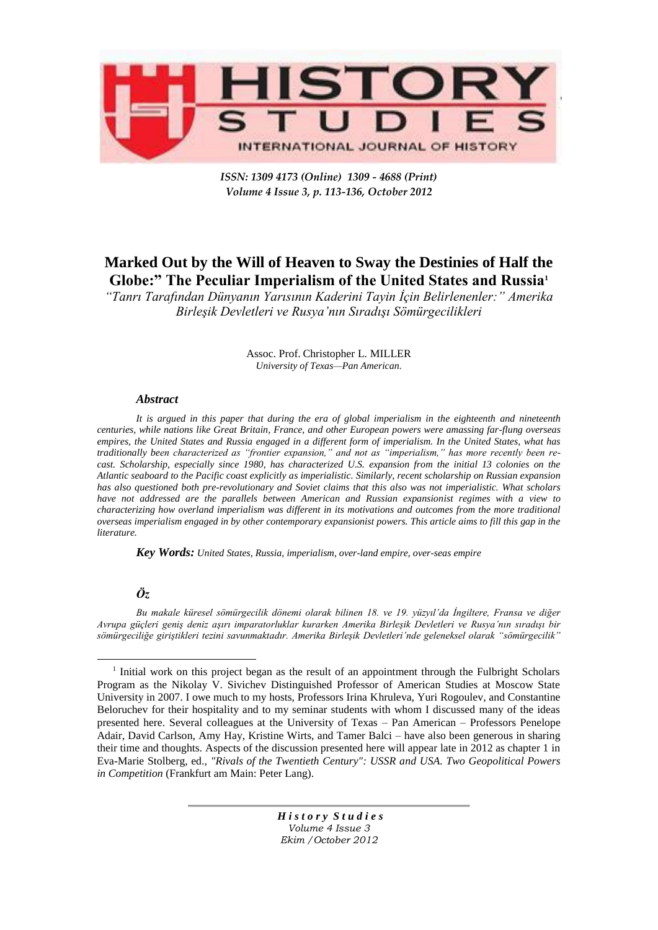

*ISSN: 1309 4173 (Online) 1309 - 4688 (Print) Volume 4 Issue 3, p. 113-136, October 2012* 

## **Marked Out by the Will of Heaven to Sway the Destinies of Half the Globe:" The Peculiar Imperialism of the United States and Russia<sup>1</sup>**

*―Tanrı Tarafından Dünyanın Yarısının Kaderini Tayin İçin Belirlenenler:‖ Amerika Birleşik Devletleri ve Rusya'nın Sıradışı Sömürgecilikleri*

> Assoc. Prof. Christopher L. MILLER *University of Texas—Pan American.*

## *Abstract*

*It is argued in this paper that during the era of global imperialism in the eighteenth and nineteenth centuries, while nations like Great Britain, France, and other European powers were amassing far-flung overseas empires, the United States and Russia engaged in a different form of imperialism. In the United States, what has*  traditionally been characterized as "frontier expansion," and not as "imperialism," has more recently been re*cast. Scholarship, especially since 1980, has characterized U.S. expansion from the initial 13 colonies on the Atlantic seaboard to the Pacific coast explicitly as imperialistic. Similarly, recent scholarship on Russian expansion has also questioned both pre-revolutionary and Soviet claims that this also was not imperialistic. What scholars have not addressed are the parallels between American and Russian expansionist regimes with a view to characterizing how overland imperialism was different in its motivations and outcomes from the more traditional overseas imperialism engaged in by other contemporary expansionist powers. This article aims to fill this gap in the literature.*

*Key Words: United States, Russia, imperialism, over-land empire, over-seas empire*

## *Öz*

 $\overline{a}$ 

*Bu makale küresel sömürgecilik dönemi olarak bilinen 18. ve 19. yüzyıl'da İngiltere, Fransa ve diğer Avrupa güçleri geniş deniz aşırı imparatorluklar kurarken Amerika Birleşik Devletleri ve Rusya'nın sıradışı bir sömürgeciliğe giriştikleri tezini savunmaktadır. Amerika Birleşik Devletleri'nde geleneksel olarak ―sömürgecilik‖* 

<sup>&</sup>lt;sup>1</sup> Initial work on this project began as the result of an appointment through the Fulbright Scholars Program as the Nikolay V. Sivichev Distinguished Professor of American Studies at Moscow State University in 2007. I owe much to my hosts, Professors Irina Khruleva, Yuri Rogoulev, and Constantine Beloruchev for their hospitality and to my seminar students with whom I discussed many of the ideas presented here. Several colleagues at the University of Texas – Pan American – Professors Penelope Adair, David Carlson, Amy Hay, Kristine Wirts, and Tamer Balci – have also been generous in sharing their time and thoughts. Aspects of the discussion presented here will appear late in 2012 as chapter 1 in Eva-Marie Stolberg, ed., *"Rivals of the Twentieth Century": USSR and USA. Two Geopolitical Powers in Competition* (Frankfurt am Main: Peter Lang).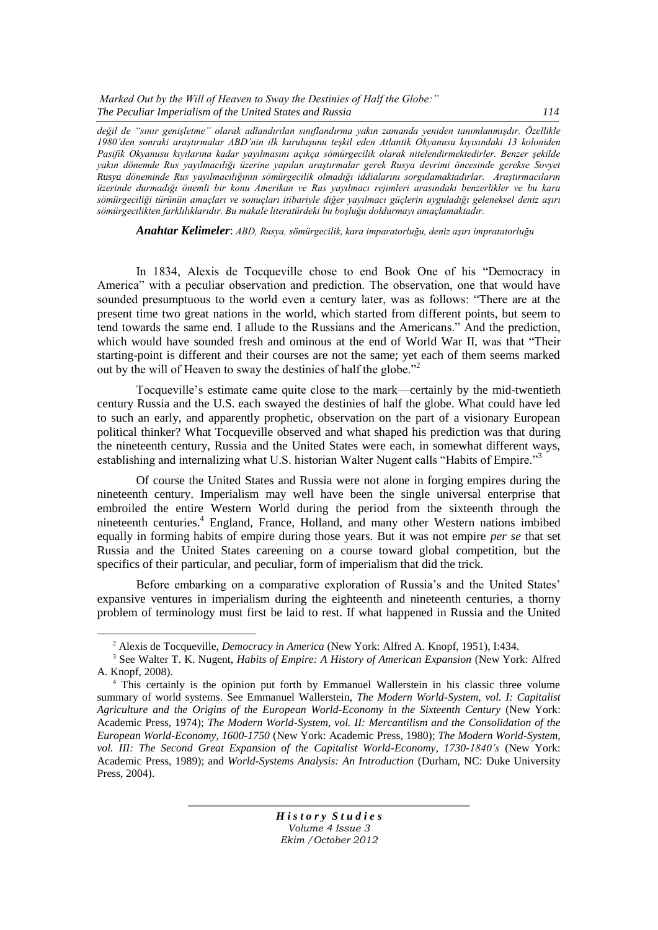*Marked Out by the Will of Heaven to Sway the Destinies of Half the Globe:*" *The Peculiar Imperialism of the United States and Russia 114*

*değil de ―sınır genişletme‖ olarak adlandırılan sınıflandırma yakın zamanda yeniden tanımlanmışdır. Özellikle 1980'den sonraki araştırmalar ABD'nin ilk kuruluşunu teşkil eden Atlantik Okyanusu kıyısındaki 13 koloniden Pasifik Okyanusu kıyılarına kadar yayılmasını açıkça sömürgecilik olarak nitelendirmektedirler. Benzer şekilde yakın dönemde Rus yayılmacılığı üzerine yapılan araştırmalar gerek Rusya devrimi öncesinde gerekse Sovyet Rusya döneminde Rus yayılmacılığının sömürgecilik olmadığı iddialarını sorgulamaktadırlar. Araştırmacıların üzerinde durmadığı önemli bir konu Amerikan ve Rus yayılmacı rejimleri arasındaki benzerlikler ve bu kara sömürgeciliği türünün amaçları ve sonuçları itibariyle diğer yayılmacı güçlerin uyguladığı geleneksel deniz aşırı sömürgecilikten farklılıklarıdır. Bu makale literatürdeki bu boşluğu doldurmayı amaçlamaktadır.*

*Anahtar Kelimeler*: *ABD, Rusya, sömürgecilik, kara imparatorluğu, deniz aşırı impratatorluğu*

In 1834, Alexis de Tocqueville chose to end Book One of his "Democracy in America" with a peculiar observation and prediction. The observation, one that would have sounded presumptuous to the world even a century later, was as follows: "There are at the present time two great nations in the world, which started from different points, but seem to tend towards the same end. I allude to the Russians and the Americans.‖ And the prediction, which would have sounded fresh and ominous at the end of World War II, was that "Their starting-point is different and their courses are not the same; yet each of them seems marked out by the will of Heaven to sway the destinies of half the globe.<sup>72</sup>

Tocqueville's estimate came quite close to the mark—certainly by the mid-twentieth century Russia and the U.S. each swayed the destinies of half the globe. What could have led to such an early, and apparently prophetic, observation on the part of a visionary European political thinker? What Tocqueville observed and what shaped his prediction was that during the nineteenth century, Russia and the United States were each, in somewhat different ways, establishing and internalizing what U.S. historian Walter Nugent calls "Habits of Empire."<sup>3</sup>

Of course the United States and Russia were not alone in forging empires during the nineteenth century. Imperialism may well have been the single universal enterprise that embroiled the entire Western World during the period from the sixteenth through the nineteenth centuries.<sup>4</sup> England, France, Holland, and many other Western nations imbibed equally in forming habits of empire during those years. But it was not empire *per se* that set Russia and the United States careening on a course toward global competition, but the specifics of their particular, and peculiar, form of imperialism that did the trick.

Before embarking on a comparative exploration of Russia's and the United States' expansive ventures in imperialism during the eighteenth and nineteenth centuries, a thorny problem of terminology must first be laid to rest. If what happened in Russia and the United

 $\overline{a}$ 

<sup>2</sup> Alexis de Tocqueville, *Democracy in America* (New York: Alfred A. Knopf, 1951), I:434.

<sup>3</sup> See Walter T. K. Nugent, *Habits of Empire: A History of American Expansion* (New York: Alfred A. Knopf, 2008).

<sup>4</sup> This certainly is the opinion put forth by Emmanuel Wallerstein in his classic three volume summary of world systems. See Emmanuel Wallerstein, *The Modern World-System, vol. I: Capitalist Agriculture and the Origins of the European World-Economy in the Sixteenth Century* (New York: Academic Press, 1974); *The Modern World-System, vol. II: Mercantilism and the Consolidation of the European World-Economy, 1600-1750* (New York: Academic Press, 1980); *The Modern World-System, vol. III: The Second Great Expansion of the Capitalist World-Economy, 1730-1840's* (New York: Academic Press, 1989); and *World-Systems Analysis: An Introduction* (Durham, NC: Duke University Press, 2004).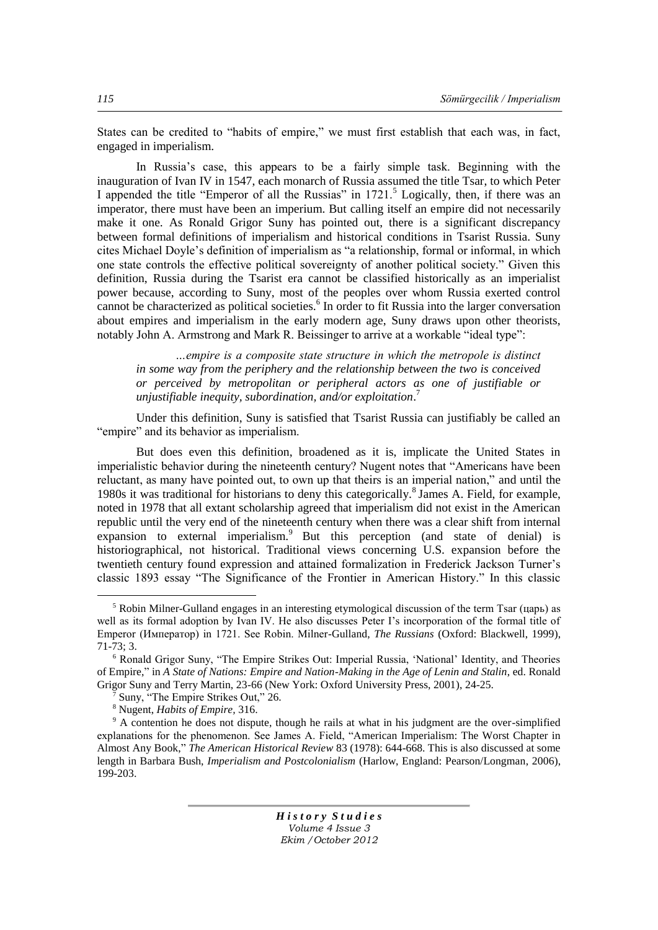States can be credited to "habits of empire," we must first establish that each was, in fact, engaged in imperialism.

In Russia's case, this appears to be a fairly simple task. Beginning with the inauguration of Ivan IV in 1547, each monarch of Russia assumed the title Tsar, to which Peter I appended the title "Emperor of all the Russias" in  $1721$ .<sup>5</sup> Logically, then, if there was an imperator, there must have been an imperium. But calling itself an empire did not necessarily make it one. As Ronald Grigor Suny has pointed out, there is a significant discrepancy between formal definitions of imperialism and historical conditions in Tsarist Russia. Suny cites Michael Doyle's definition of imperialism as "a relationship, formal or informal, in which one state controls the effective political sovereignty of another political society." Given this definition, Russia during the Tsarist era cannot be classified historically as an imperialist power because, according to Suny, most of the peoples over whom Russia exerted control cannot be characterized as political societies.<sup>6</sup> In order to fit Russia into the larger conversation about empires and imperialism in the early modern age, Suny draws upon other theorists, notably John A. Armstrong and Mark R. Beissinger to arrive at a workable "ideal type":

*…empire is a composite state structure in which the metropole is distinct in some way from the periphery and the relationship between the two is conceived or perceived by metropolitan or peripheral actors as one of justifiable or unjustifiable inequity, subordination, and/or exploitation*. 7

Under this definition, Suny is satisfied that Tsarist Russia can justifiably be called an "empire" and its behavior as imperialism.

But does even this definition, broadened as it is, implicate the United States in imperialistic behavior during the nineteenth century? Nugent notes that "Americans have been reluctant, as many have pointed out, to own up that theirs is an imperial nation," and until the 1980s it was traditional for historians to deny this categorically.<sup>8</sup> James A. Field, for example, noted in 1978 that all extant scholarship agreed that imperialism did not exist in the American republic until the very end of the nineteenth century when there was a clear shift from internal expansion to external imperialism.<sup>9</sup> But this perception (and state of denial) is historiographical, not historical. Traditional views concerning U.S. expansion before the twentieth century found expression and attained formalization in Frederick Jackson Turner's classic 1893 essay "The Significance of the Frontier in American History." In this classic

*H i s t o r y S t u d i e s Volume 4 Issue 3 Ekim /October 2012*

 $\overline{a}$ 

<sup>5</sup> Robin Milner-Gulland engages in an interesting etymological discussion of the term Tsar (царь) as well as its formal adoption by Ivan IV. He also discusses Peter I's incorporation of the formal title of Emperor (Император) in 1721. See Robin. Milner-Gulland, *The Russians* (Oxford: Blackwell, 1999), 71-73; 3.

<sup>&</sup>lt;sup>6</sup> Ronald Grigor Suny, "The Empire Strikes Out: Imperial Russia, 'National' Identity, and Theories of Empire," in *A State of Nations: Empire and Nation-Making in the Age of Lenin and Stalin*, ed. Ronald Grigor Suny and Terry Martin, 23-66 (New York: Oxford University Press, 2001), 24-25.

Suny, "The Empire Strikes Out," 26.

<sup>8</sup> Nugent, *Habits of Empire,* 316.

<sup>9</sup> A contention he does not dispute, though he rails at what in his judgment are the over-simplified explanations for the phenomenon. See James A. Field, "American Imperialism: The Worst Chapter in Almost Any Book,‖ *The American Historical Review* 83 (1978): 644-668. This is also discussed at some length in Barbara Bush, *Imperialism and Postcolonialism* (Harlow, England: Pearson/Longman, 2006), 199-203.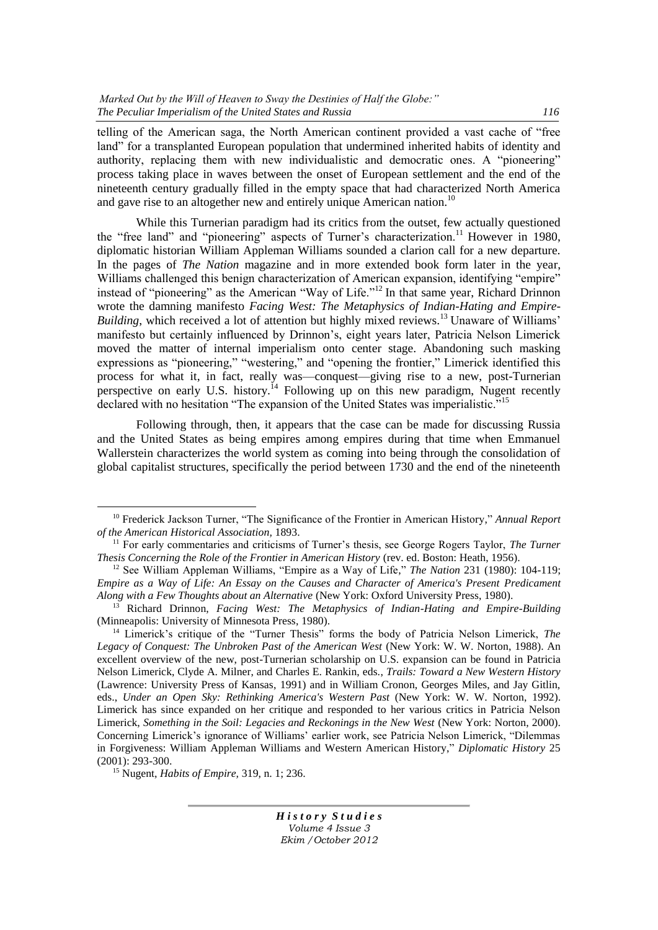telling of the American saga, the North American continent provided a vast cache of "free land" for a transplanted European population that undermined inherited habits of identity and authority, replacing them with new individualistic and democratic ones. A "pioneering" process taking place in waves between the onset of European settlement and the end of the nineteenth century gradually filled in the empty space that had characterized North America and gave rise to an altogether new and entirely unique American nation.<sup>10</sup>

While this Turnerian paradigm had its critics from the outset, few actually questioned the "free land" and "pioneering" aspects of Turner's characterization.<sup>11</sup> However in 1980, diplomatic historian William Appleman Williams sounded a clarion call for a new departure. In the pages of *The Nation* magazine and in more extended book form later in the year, Williams challenged this benign characterization of American expansion, identifying "empire" instead of "pioneering" as the American "Way of Life."<sup>12</sup> In that same year, Richard Drinnon wrote the damning manifesto *Facing West: The Metaphysics of Indian-Hating and Empire-Building*, which received a lot of attention but highly mixed reviews.<sup>13</sup> Unaware of Williams' manifesto but certainly influenced by Drinnon's, eight years later, Patricia Nelson Limerick moved the matter of internal imperialism onto center stage. Abandoning such masking expressions as "pioneering," "westering," and "opening the frontier," Limerick identified this process for what it, in fact, really was—conquest—giving rise to a new, post-Turnerian perspective on early U.S. history.<sup>14</sup> Following up on this new paradigm, Nugent recently declared with no hesitation "The expansion of the United States was imperialistic."<sup>15</sup>

Following through, then, it appears that the case can be made for discussing Russia and the United States as being empires among empires during that time when Emmanuel Wallerstein characterizes the world system as coming into being through the consolidation of global capitalist structures, specifically the period between 1730 and the end of the nineteenth

 $\overline{a}$ 

<sup>&</sup>lt;sup>10</sup> Frederick Jackson Turner, "The Significance of the Frontier in American History," *Annual Report of the American Historical Association,* 1893.

<sup>11</sup> For early commentaries and criticisms of Turner's thesis, see George Rogers Taylor, *The Turner Thesis Concerning the Role of the Frontier in American History* (rev. ed. Boston: Heath, 1956).

<sup>&</sup>lt;sup>12</sup> See William Appleman Williams, "Empire as a Way of Life," *The Nation* 231 (1980): 104-119; *Empire as a Way of Life: An Essay on the Causes and Character of America's Present Predicament Along with a Few Thoughts about an Alternative* (New York: Oxford University Press, 1980).

<sup>13</sup> Richard Drinnon, *Facing West: The Metaphysics of Indian-Hating and Empire-Building* (Minneapolis: University of Minnesota Press, 1980).

<sup>&</sup>lt;sup>14</sup> Limerick's critique of the "Turner Thesis" forms the body of Patricia Nelson Limerick, *The Legacy of Conquest: The Unbroken Past of the American West* (New York: W. W. Norton, 1988). An excellent overview of the new, post-Turnerian scholarship on U.S. expansion can be found in Patricia Nelson Limerick, Clyde A. Milner, and Charles E. Rankin, eds., *Trails: Toward a New Western History* (Lawrence: University Press of Kansas, 1991) and in William Cronon, Georges Miles, and Jay Gitlin, eds., *Under an Open Sky: Rethinking America's Western Past* (New York: W. W. Norton, 1992). Limerick has since expanded on her critique and responded to her various critics in Patricia Nelson Limerick, *Something in the Soil: Legacies and Reckonings in the New West* (New York: Norton, 2000). Concerning Limerick's ignorance of Williams' earlier work, see Patricia Nelson Limerick, "Dilemmas" in Forgiveness: William Appleman Williams and Western American History," *Diplomatic History* 25 (2001): 293-300.

<sup>15</sup> Nugent, *Habits of Empire,* 319, n. 1; 236.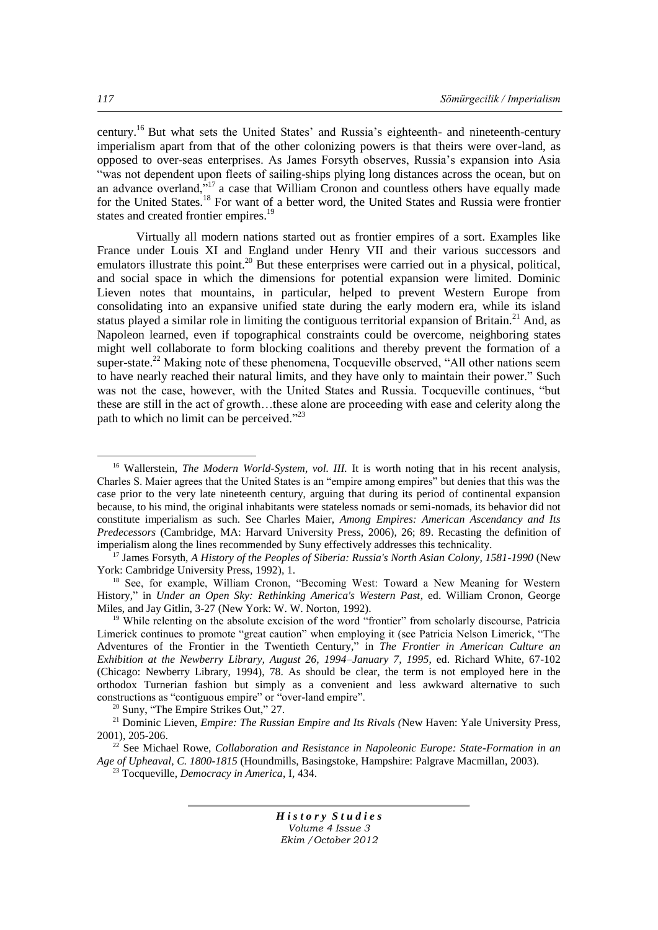century.<sup>16</sup> But what sets the United States' and Russia's eighteenth- and nineteenth-century imperialism apart from that of the other colonizing powers is that theirs were over-land, as opposed to over-seas enterprises. As James Forsyth observes, Russia's expansion into Asia "was not dependent upon fleets of sailing-ships plying long distances across the ocean, but on an advance overland, $\frac{1}{2}$ <sup>17</sup> a case that William Cronon and countless others have equally made for the United States.<sup>18</sup> For want of a better word, the United States and Russia were frontier states and created frontier empires.<sup>19</sup>

Virtually all modern nations started out as frontier empires of a sort. Examples like France under Louis XI and England under Henry VII and their various successors and emulators illustrate this point.<sup>20</sup> But these enterprises were carried out in a physical, political, and social space in which the dimensions for potential expansion were limited. Dominic Lieven notes that mountains, in particular, helped to prevent Western Europe from consolidating into an expansive unified state during the early modern era, while its island status played a similar role in limiting the contiguous territorial expansion of Britain.<sup>21</sup> And, as Napoleon learned, even if topographical constraints could be overcome, neighboring states might well collaborate to form blocking coalitions and thereby prevent the formation of a super-state.<sup>22</sup> Making note of these phenomena. Tocqueville observed, "All other nations seem to have nearly reached their natural limits, and they have only to maintain their power." Such was not the case, however, with the United States and Russia. To cause ville continues, "but these are still in the act of growth…these alone are proceeding with ease and celerity along the path to which no limit can be perceived. $^{223}$ 

*H i s t o r y S t u d i e s Volume 4 Issue 3 Ekim /October 2012*

 $\overline{a}$ 

<sup>&</sup>lt;sup>16</sup> Wallerstein, *The Modern World-System, vol. III*. It is worth noting that in his recent analysis, Charles S. Maier agrees that the United States is an "empire among empires" but denies that this was the case prior to the very late nineteenth century, arguing that during its period of continental expansion because, to his mind, the original inhabitants were stateless nomads or semi-nomads, its behavior did not constitute imperialism as such. See Charles Maier, *Among Empires: American Ascendancy and Its Predecessors* (Cambridge, MA: Harvard University Press, 2006), 26; 89. Recasting the definition of imperialism along the lines recommended by Suny effectively addresses this technicality.

<sup>17</sup> James Forsyth, *A History of the Peoples of Siberia: Russia's North Asian Colony, 1581-1990* (New York: Cambridge University Press, 1992), 1.

<sup>&</sup>lt;sup>18</sup> See, for example, William Cronon, "Becoming West: Toward a New Meaning for Western History," in *Under an Open Sky: Rethinking America's Western Past*, ed. William Cronon, George Miles, and Jay Gitlin, 3-27 (New York: W. W. Norton, 1992).

<sup>&</sup>lt;sup>19</sup> While relenting on the absolute excision of the word "frontier" from scholarly discourse, Patricia Limerick continues to promote "great caution" when employing it (see Patricia Nelson Limerick, "The Adventures of the Frontier in the Twentieth Century," in *The Frontier in American Culture an Exhibition at the Newberry Library, August 26, 1994–January 7, 1995*, ed. Richard White, 67-102 (Chicago: Newberry Library, 1994), 78. As should be clear, the term is not employed here in the orthodox Turnerian fashion but simply as a convenient and less awkward alternative to such constructions as "contiguous empire" or "over-land empire".

 $20$  Suny, "The Empire Strikes Out," 27.

<sup>21</sup> Dominic Lieven, *Empire: The Russian Empire and Its Rivals (*New Haven: Yale University Press, 2001), 205-206.

<sup>&</sup>lt;sup>22</sup> See Michael Rowe, *Collaboration and Resistance in Napoleonic Europe: State-Formation in an Age of Upheaval, C. 1800-1815* (Houndmills, Basingstoke, Hampshire: Palgrave Macmillan, 2003).

<sup>23</sup> Tocqueville, *Democracy in America*, I, 434.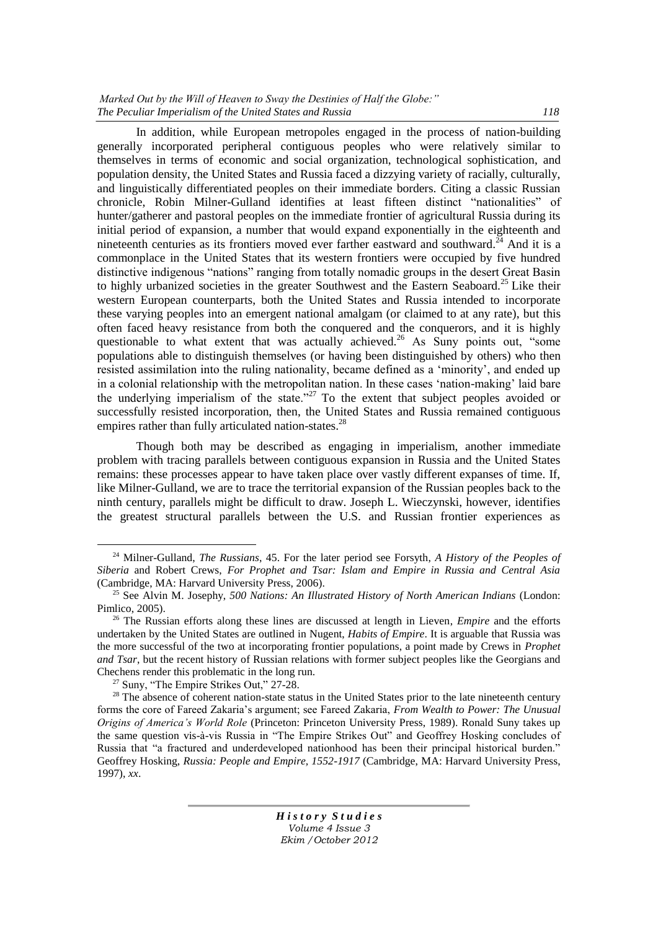*Marked Out by the Will of Heaven to Sway the Destinies of Half the Globe:* " *The Peculiar Imperialism of the United States and Russia 118*

In addition, while European metropoles engaged in the process of nation-building generally incorporated peripheral contiguous peoples who were relatively similar to themselves in terms of economic and social organization, technological sophistication, and population density, the United States and Russia faced a dizzying variety of racially, culturally, and linguistically differentiated peoples on their immediate borders. Citing a classic Russian chronicle, Robin Milner-Gulland identifies at least fifteen distinct "nationalities" of hunter/gatherer and pastoral peoples on the immediate frontier of agricultural Russia during its initial period of expansion, a number that would expand exponentially in the eighteenth and nineteenth centuries as its frontiers moved ever farther eastward and southward.<sup>24</sup> And it is a commonplace in the United States that its western frontiers were occupied by five hundred distinctive indigenous "nations" ranging from totally nomadic groups in the desert Great Basin to highly urbanized societies in the greater Southwest and the Eastern Seaboard.<sup>25</sup> Like their western European counterparts, both the United States and Russia intended to incorporate these varying peoples into an emergent national amalgam (or claimed to at any rate), but this often faced heavy resistance from both the conquered and the conquerors, and it is highly questionable to what extent that was actually achieved.<sup>26</sup> As Suny points out,  $\degree$ some populations able to distinguish themselves (or having been distinguished by others) who then resisted assimilation into the ruling nationality, became defined as a 'minority', and ended up in a colonial relationship with the metropolitan nation. In these cases 'nation-making' laid bare the underlying imperialism of the state.<sup> $27$ </sup> To the extent that subject peoples avoided or successfully resisted incorporation, then, the United States and Russia remained contiguous empires rather than fully articulated nation-states.<sup>28</sup>

Though both may be described as engaging in imperialism, another immediate problem with tracing parallels between contiguous expansion in Russia and the United States remains: these processes appear to have taken place over vastly different expanses of time. If, like Milner-Gulland, we are to trace the territorial expansion of the Russian peoples back to the ninth century, parallels might be difficult to draw. Joseph L. Wieczynski, however, identifies the greatest structural parallels between the U.S. and Russian frontier experiences as

 $\overline{a}$ 

<sup>24</sup> Milner-Gulland, *The Russians*, 45. For the later period see Forsyth, *A History of the Peoples of Siberia* and Robert Crews, *For Prophet and Tsar: Islam and Empire in Russia and Central Asia* (Cambridge, MA: Harvard University Press, 2006).

<sup>25</sup> See Alvin M. Josephy, *500 Nations: An Illustrated History of North American Indians* (London: Pimlico, 2005).

<sup>26</sup> The Russian efforts along these lines are discussed at length in Lieven, *Empire* and the efforts undertaken by the United States are outlined in Nugent, *Habits of Empire*. It is arguable that Russia was the more successful of the two at incorporating frontier populations, a point made by Crews in *Prophet and Tsar*, but the recent history of Russian relations with former subject peoples like the Georgians and Chechens render this problematic in the long run.

 $27$  Suny, "The Empire Strikes Out," 27-28.

 $28$  The absence of coherent nation-state status in the United States prior to the late nineteenth century forms the core of Fareed Zakaria's argument; see Fareed Zakaria, *From Wealth to Power: The Unusual Origins of America's World Role* (Princeton: Princeton University Press, 1989). Ronald Suny takes up the same question vis-à-vis Russia in "The Empire Strikes Out" and Geoffrey Hosking concludes of Russia that "a fractured and underdeveloped nationhood has been their principal historical burden." Geoffrey Hosking, *Russia: People and Empire, 1552-1917* (Cambridge, MA: Harvard University Press, 1997), *xx*.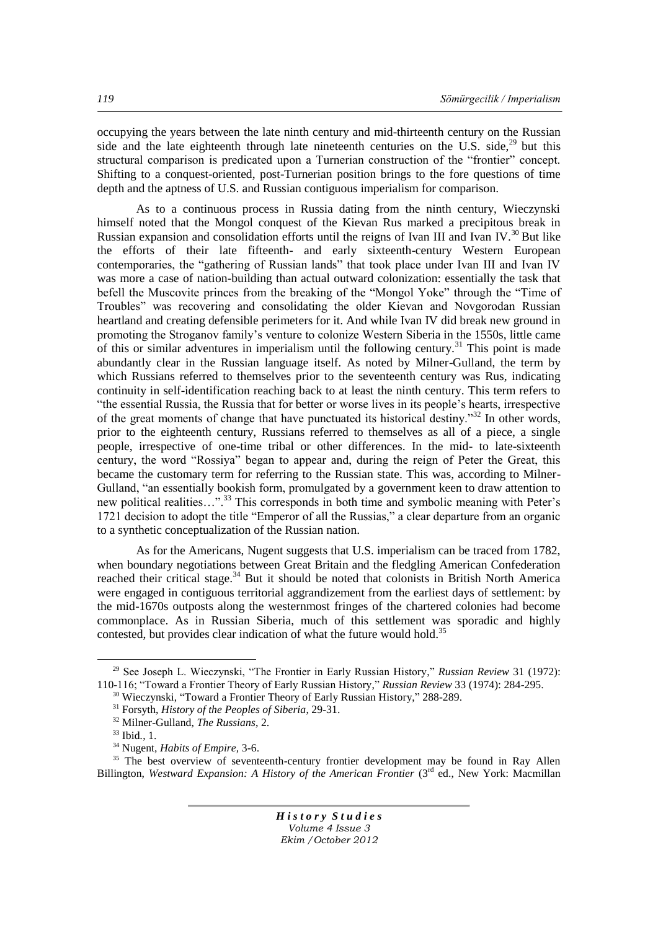occupying the years between the late ninth century and mid-thirteenth century on the Russian side and the late eighteenth through late nineteenth centuries on the U.S. side, $^{29}$  but this structural comparison is predicated upon a Turnerian construction of the "frontier" concept. Shifting to a conquest-oriented, post-Turnerian position brings to the fore questions of time depth and the aptness of U.S. and Russian contiguous imperialism for comparison.

As to a continuous process in Russia dating from the ninth century, Wieczynski himself noted that the Mongol conquest of the Kievan Rus marked a precipitous break in Russian expansion and consolidation efforts until the reigns of Ivan III and Ivan IV.<sup>30</sup> But like the efforts of their late fifteenth- and early sixteenth-century Western European contemporaries, the "gathering of Russian lands" that took place under Ivan III and Ivan IV was more a case of nation-building than actual outward colonization: essentially the task that befell the Muscovite princes from the breaking of the "Mongol Yoke" through the "Time of Troubles‖ was recovering and consolidating the older Kievan and Novgorodan Russian heartland and creating defensible perimeters for it. And while Ivan IV did break new ground in promoting the Stroganov family's venture to colonize Western Siberia in the 1550s, little came of this or similar adventures in imperialism until the following century.<sup>31</sup> This point is made abundantly clear in the Russian language itself. As noted by Milner-Gulland, the term by which Russians referred to themselves prior to the seventeenth century was Rus, indicating continuity in self-identification reaching back to at least the ninth century. This term refers to ―the essential Russia, the Russia that for better or worse lives in its people's hearts, irrespective of the great moments of change that have punctuated its historical destiny.<sup>32</sup> In other words, prior to the eighteenth century, Russians referred to themselves as all of a piece, a single people, irrespective of one-time tribal or other differences. In the mid- to late-sixteenth century, the word "Rossiya" began to appear and, during the reign of Peter the Great, this became the customary term for referring to the Russian state. This was, according to Milner-Gulland, "an essentially bookish form, promulgated by a government keen to draw attention to new political realities…".<sup>33</sup> This corresponds in both time and symbolic meaning with Peter's 1721 decision to adopt the title "Emperor of all the Russias," a clear departure from an organic to a synthetic conceptualization of the Russian nation.

As for the Americans, Nugent suggests that U.S. imperialism can be traced from 1782, when boundary negotiations between Great Britain and the fledgling American Confederation reached their critical stage.<sup>34</sup> But it should be noted that colonists in British North America were engaged in contiguous territorial aggrandizement from the earliest days of settlement: by the mid-1670s outposts along the westernmost fringes of the chartered colonies had become commonplace. As in Russian Siberia, much of this settlement was sporadic and highly contested, but provides clear indication of what the future would hold.<sup>35</sup>

 $\overline{a}$ 

<sup>35</sup> The best overview of seventeenth-century frontier development may be found in Ray Allen Billington, Westward Expansion: A History of the American Frontier (3<sup>rd</sup> ed., New York: Macmillan

<sup>&</sup>lt;sup>29</sup> See Joseph L. Wieczynski, "The Frontier in Early Russian History," *Russian Review* 31 (1972): 110-116; ―Toward a Frontier Theory of Early Russian History,‖ *Russian Review* 33 (1974): 284-295.

<sup>&</sup>lt;sup>30</sup> Wieczynski, "Toward a Frontier Theory of Early Russian History," 288-289.

<sup>31</sup> Forsyth, *History of the Peoples of Siberia*, 29-31.

<sup>32</sup> Milner-Gulland, *The Russians*, 2.

<sup>33</sup> Ibid*.*, 1.

<sup>34</sup> Nugent, *Habits of Empire,* 3-6.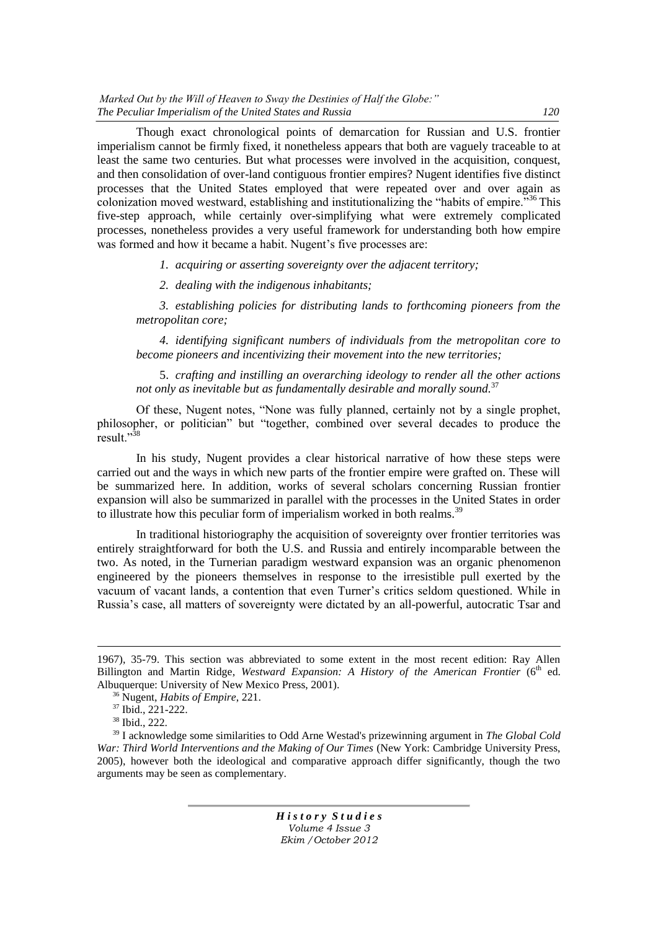Though exact chronological points of demarcation for Russian and U.S. frontier imperialism cannot be firmly fixed, it nonetheless appears that both are vaguely traceable to at least the same two centuries. But what processes were involved in the acquisition, conquest, and then consolidation of over-land contiguous frontier empires? Nugent identifies five distinct processes that the United States employed that were repeated over and over again as colonization moved westward, establishing and institutionalizing the  $\degree$ habits of empire.<sup>36</sup> This five-step approach, while certainly over-simplifying what were extremely complicated processes, nonetheless provides a very useful framework for understanding both how empire was formed and how it became a habit. Nugent's five processes are:

*1. acquiring or asserting sovereignty over the adjacent territory;*

*2. dealing with the indigenous inhabitants;*

*3. establishing policies for distributing lands to forthcoming pioneers from the metropolitan core;*

*4. identifying significant numbers of individuals from the metropolitan core to become pioneers and incentivizing their movement into the new territories;*

5. *crafting and instilling an overarching ideology to render all the other actions not only as inevitable but as fundamentally desirable and morally sound.*<sup>37</sup>

Of these, Nugent notes, "None was fully planned, certainly not by a single prophet, philosopher, or politician" but "together, combined over several decades to produce the result."<sup>38</sup>

In his study, Nugent provides a clear historical narrative of how these steps were carried out and the ways in which new parts of the frontier empire were grafted on. These will be summarized here. In addition, works of several scholars concerning Russian frontier expansion will also be summarized in parallel with the processes in the United States in order to illustrate how this peculiar form of imperialism worked in both realms.<sup>39</sup>

In traditional historiography the acquisition of sovereignty over frontier territories was entirely straightforward for both the U.S. and Russia and entirely incomparable between the two. As noted, in the Turnerian paradigm westward expansion was an organic phenomenon engineered by the pioneers themselves in response to the irresistible pull exerted by the vacuum of vacant lands, a contention that even Turner's critics seldom questioned. While in Russia's case, all matters of sovereignty were dictated by an all-powerful, autocratic Tsar and

 $\overline{a}$ 

<sup>1967), 35-79.</sup> This section was abbreviated to some extent in the most recent edition: Ray Allen Billington and Martin Ridge, *Westward Expansion: A History of the American Frontier* (6<sup>th</sup> ed. Albuquerque: University of New Mexico Press, 2001).

<sup>36</sup> Nugent, *Habits of Empire*, 221.

<sup>37</sup> Ibid., 221-222.

<sup>38</sup> Ibid., 222.

<sup>39</sup> I acknowledge some similarities to Odd Arne Westad's prizewinning argument in *The Global Cold War: Third World Interventions and the Making of Our Times* (New York: Cambridge University Press, 2005), however both the ideological and comparative approach differ significantly, though the two arguments may be seen as complementary.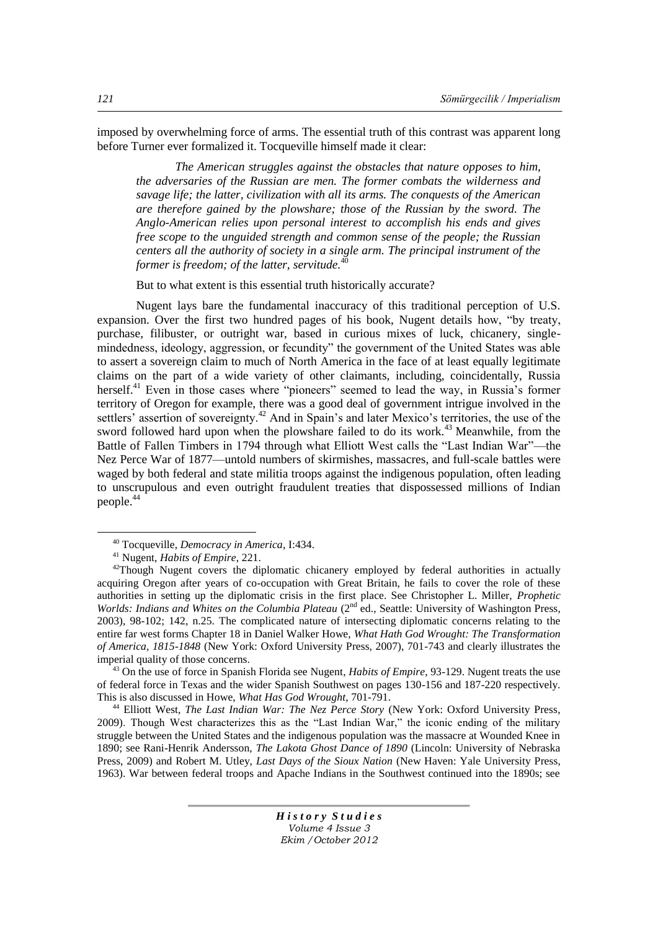imposed by overwhelming force of arms. The essential truth of this contrast was apparent long before Turner ever formalized it. Tocqueville himself made it clear:

*The American struggles against the obstacles that nature opposes to him, the adversaries of the Russian are men. The former combats the wilderness and savage life; the latter, civilization with all its arms. The conquests of the American are therefore gained by the plowshare; those of the Russian by the sword. The Anglo-American relies upon personal interest to accomplish his ends and gives free scope to the unguided strength and common sense of the people; the Russian centers all the authority of society in a single arm. The principal instrument of the former is freedom; of the latter, servitude.*<sup>40</sup>

But to what extent is this essential truth historically accurate?

Nugent lays bare the fundamental inaccuracy of this traditional perception of U.S. expansion. Over the first two hundred pages of his book, Nugent details how, "by treaty, purchase, filibuster, or outright war, based in curious mixes of luck, chicanery, singlemindedness, ideology, aggression, or fecundity" the government of the United States was able to assert a sovereign claim to much of North America in the face of at least equally legitimate claims on the part of a wide variety of other claimants, including, coincidentally, Russia herself.<sup>41</sup> Even in those cases where "pioneers" seemed to lead the way, in Russia's former territory of Oregon for example, there was a good deal of government intrigue involved in the settlers' assertion of sovereignty.<sup>42</sup> And in Spain's and later Mexico's territories, the use of the sword followed hard upon when the plowshare failed to do its work.<sup>43</sup> Meanwhile, from the Battle of Fallen Timbers in 1794 through what Elliott West calls the "Last Indian War"—the Nez Perce War of 1877—untold numbers of skirmishes, massacres, and full-scale battles were waged by both federal and state militia troops against the indigenous population, often leading to unscrupulous and even outright fraudulent treaties that dispossessed millions of Indian people.<sup>44</sup>

 $\overline{a}$ 

<sup>43</sup> On the use of force in Spanish Florida see Nugent, *Habits of Empire*, 93-129. Nugent treats the use of federal force in Texas and the wider Spanish Southwest on pages 130-156 and 187-220 respectively. This is also discussed in Howe, *What Has God Wrought*, 701-791.

<sup>44</sup> Elliott West, *The Last Indian War: The Nez Perce Story* (New York: Oxford University Press, 2009). Though West characterizes this as the "Last Indian War," the iconic ending of the military struggle between the United States and the indigenous population was the massacre at Wounded Knee in 1890; see Rani-Henrik Andersson, *The Lakota Ghost Dance of 1890* (Lincoln: University of Nebraska Press, 2009) and Robert M. Utley, *Last Days of the Sioux Nation* (New Haven: Yale University Press, 1963). War between federal troops and Apache Indians in the Southwest continued into the 1890s; see

<sup>40</sup> Tocqueville, *Democracy in America*, I:434.

<sup>41</sup> Nugent, *Habits of Empire*, 221.

<sup>&</sup>lt;sup>42</sup>Though Nugent covers the diplomatic chicanery employed by federal authorities in actually acquiring Oregon after years of co-occupation with Great Britain, he fails to cover the role of these authorities in setting up the diplomatic crisis in the first place. See Christopher L. Miller, *Prophetic*  Worlds: Indians and Whites on the Columbia Plateau (2<sup>nd</sup> ed., Seattle: University of Washington Press, 2003), 98-102; 142, n.25. The complicated nature of intersecting diplomatic concerns relating to the entire far west forms Chapter 18 in Daniel Walker Howe, *What Hath God Wrought: The Transformation of America, 1815-1848* (New York: Oxford University Press, 2007), 701-743 and clearly illustrates the imperial quality of those concerns.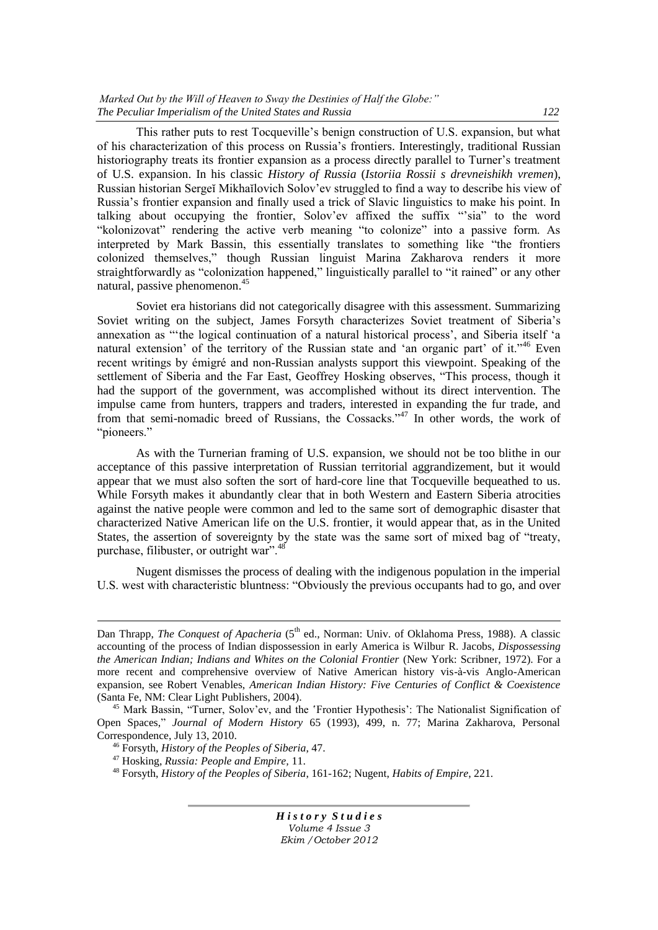*Marked Out by the Will of Heaven to Sway the Destinies of Half the Globe:*" *The Peculiar Imperialism of the United States and Russia 122*

This rather puts to rest Tocqueville's benign construction of U.S. expansion, but what of his characterization of this process on Russia's frontiers. Interestingly, traditional Russian historiography treats its frontier expansion as a process directly parallel to Turner's treatment of U.S. expansion. In his classic *History of Russia* (*Istoriia Rossii s drevneishikh vremen*), Russian historian Sergeĭ Mikhaĭlovich Solov'ev struggled to find a way to describe his view of Russia's frontier expansion and finally used a trick of Slavic linguistics to make his point. In talking about occupying the frontier, Solov'ev affixed the suffix "sia" to the word "kolonizovat" rendering the active verb meaning "to colonize" into a passive form. As interpreted by Mark Bassin, this essentially translates to something like "the frontiers" colonized themselves,‖ though Russian linguist Marina Zakharova renders it more straightforwardly as "colonization happened," linguistically parallel to "it rained" or any other natural, passive phenomenon.<sup>45</sup>

Soviet era historians did not categorically disagree with this assessment. Summarizing Soviet writing on the subject, James Forsyth characterizes Soviet treatment of Siberia's annexation as "the logical continuation of a natural historical process', and Siberia itself 'a natural extension' of the territory of the Russian state and 'an organic part' of it."<sup>46</sup> Even recent writings by émigré and non-Russian analysts support this viewpoint. Speaking of the settlement of Siberia and the Far East, Geoffrey Hosking observes, "This process, though it had the support of the government, was accomplished without its direct intervention. The impulse came from hunters, trappers and traders, interested in expanding the fur trade, and from that semi-nomadic breed of Russians, the Cossacks.<sup>347</sup> In other words, the work of "pioneers."

As with the Turnerian framing of U.S. expansion, we should not be too blithe in our acceptance of this passive interpretation of Russian territorial aggrandizement, but it would appear that we must also soften the sort of hard-core line that Tocqueville bequeathed to us. While Forsyth makes it abundantly clear that in both Western and Eastern Siberia atrocities against the native people were common and led to the same sort of demographic disaster that characterized Native American life on the U.S. frontier, it would appear that, as in the United States, the assertion of sovereignty by the state was the same sort of mixed bag of "treaty, purchase, filibuster, or outright war". $48$ 

Nugent dismisses the process of dealing with the indigenous population in the imperial U.S. west with characteristic bluntness: "Obviously the previous occupants had to go, and over

 $\overline{a}$ 

Dan Thrapp, *The Conquest of Apacheria* (5<sup>th</sup> ed., Norman: Univ. of Oklahoma Press, 1988). A classic accounting of the process of Indian dispossession in early America is Wilbur R. Jacobs, *Dispossessing the American Indian; Indians and Whites on the Colonial Frontier* (New York: Scribner, 1972). For a more recent and comprehensive overview of Native American history vis-à-vis Anglo-American expansion, see Robert Venables, *American Indian History: Five Centuries of Conflict & Coexistence* (Santa Fe, NM: Clear Light Publishers, 2004).

<sup>&</sup>lt;sup>45</sup> Mark Bassin, "Turner, Solov'ev, and the 'Frontier Hypothesis': The Nationalist Signification of Open Spaces,‖ *Journal of Modern History* 65 (1993), 499, n. 77; Marina Zakharova, Personal Correspondence, July 13, 2010.

<sup>46</sup> Forsyth, *History of the Peoples of Siberia*, 47.

<sup>47</sup> Hosking, *Russia: People and Empire,* 11.

<sup>48</sup> Forsyth, *History of the Peoples of Siberia*, 161-162; Nugent, *Habits of Empire*, 221.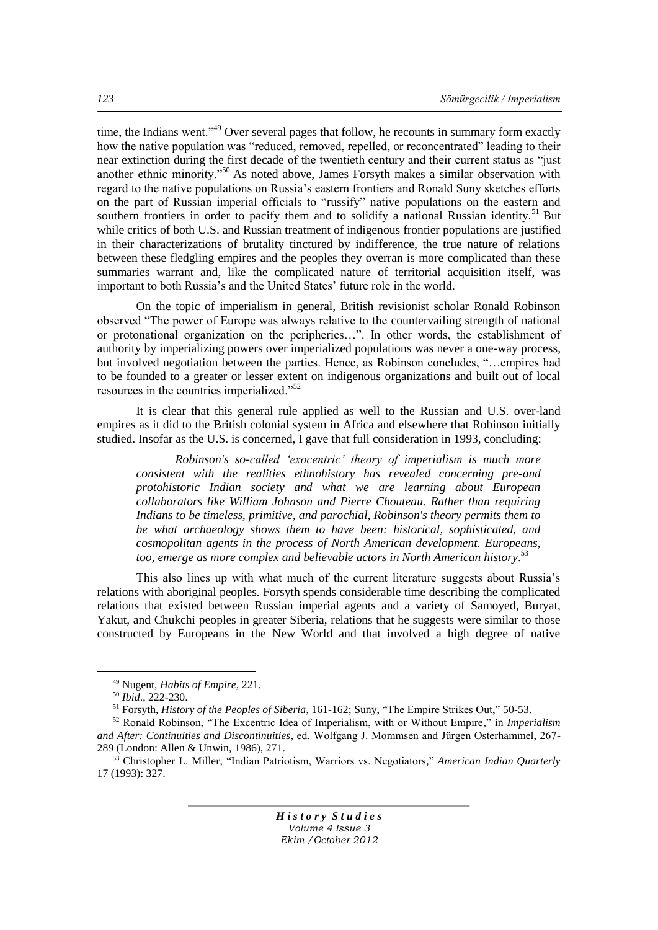time, the Indians went.<sup>49</sup> Over several pages that follow, he recounts in summary form exactly how the native population was "reduced, removed, repelled, or reconcentrated" leading to their near extinction during the first decade of the twentieth century and their current status as "just" another ethnic minority."<sup>50</sup> As noted above, James Forsyth makes a similar observation with regard to the native populations on Russia's eastern frontiers and Ronald Suny sketches efforts on the part of Russian imperial officials to "russify" native populations on the eastern and southern frontiers in order to pacify them and to solidify a national Russian identity.<sup>51</sup> But while critics of both U.S. and Russian treatment of indigenous frontier populations are justified in their characterizations of brutality tinctured by indifference, the true nature of relations between these fledgling empires and the peoples they overran is more complicated than these summaries warrant and, like the complicated nature of territorial acquisition itself, was important to both Russia's and the United States' future role in the world.

On the topic of imperialism in general, British revisionist scholar Ronald Robinson observed ―The power of Europe was always relative to the countervailing strength of national or protonational organization on the peripheries...". In other words, the establishment of authority by imperializing powers over imperialized populations was never a one-way process, but involved negotiation between the parties. Hence, as Robinson concludes, "...empires had to be founded to a greater or lesser extent on indigenous organizations and built out of local resources in the countries imperialized."<sup>52</sup>

It is clear that this general rule applied as well to the Russian and U.S. over-land empires as it did to the British colonial system in Africa and elsewhere that Robinson initially studied. Insofar as the U.S. is concerned, I gave that full consideration in 1993, concluding:

*Robinson's so-called ‗exocentric' theory of imperialism is much more consistent with the realities ethnohistory has revealed concerning pre-and protohistoric Indian society and what we are learning about European collaborators like William Johnson and Pierre Chouteau. Rather than requiring Indians to be timeless, primitive, and parochial, Robinson's theory permits them to be what archaeology shows them to have been: historical, sophisticated, and cosmopolitan agents in the process of North American development. Europeans, too, emerge as more complex and believable actors in North American history*. 53

This also lines up with what much of the current literature suggests about Russia's relations with aboriginal peoples. Forsyth spends considerable time describing the complicated relations that existed between Russian imperial agents and a variety of Samoyed, Buryat, Yakut, and Chukchi peoples in greater Siberia, relations that he suggests were similar to those constructed by Europeans in the New World and that involved a high degree of native

 $\overline{a}$ 

<sup>49</sup> Nugent, *Habits of Empire*, 221.

<sup>50</sup> *Ibid*., 222-230.

<sup>&</sup>lt;sup>51</sup> Forsyth, *History of the Peoples of Siberia*, 161-162; Suny, "The Empire Strikes Out," 50-53.

<sup>&</sup>lt;sup>52</sup> Ronald Robinson, "The Excentric Idea of Imperialism, with or Without Empire," in *Imperialism and After: Continuities and Discontinuities*, ed. Wolfgang J. Mommsen and Jürgen Osterhammel, 267- 289 (London: Allen & Unwin, 1986), 271.

<sup>&</sup>lt;sup>53</sup> Christopher L. Miller, "Indian Patriotism, Warriors vs. Negotiators," American Indian Quarterly 17 (1993): 327.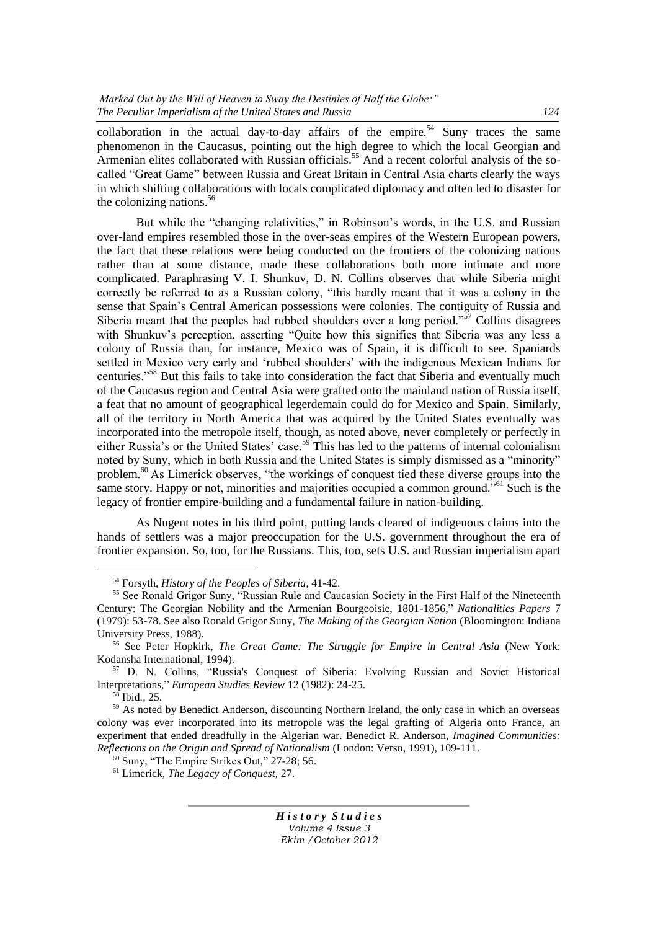collaboration in the actual day-to-day affairs of the empire.<sup>54</sup> Suny traces the same phenomenon in the Caucasus, pointing out the high degree to which the local Georgian and Armenian elites collaborated with Russian officials.<sup>55</sup> And a recent colorful analysis of the socalled "Great Game" between Russia and Great Britain in Central Asia charts clearly the ways in which shifting collaborations with locals complicated diplomacy and often led to disaster for the colonizing nations.  $56$ 

But while the "changing relativities," in Robinson's words, in the U.S. and Russian over-land empires resembled those in the over-seas empires of the Western European powers, the fact that these relations were being conducted on the frontiers of the colonizing nations rather than at some distance, made these collaborations both more intimate and more complicated. Paraphrasing V. I. Shunkuv, D. N. Collins observes that while Siberia might correctly be referred to as a Russian colony, "this hardly meant that it was a colony in the sense that Spain's Central American possessions were colonies. The contiguity of Russia and Siberia meant that the peoples had rubbed shoulders over a long period.<sup> $57$ </sup> Collins disagrees with Shunkuv's perception, asserting "Ouite how this signifies that Siberia was any less a colony of Russia than, for instance, Mexico was of Spain, it is difficult to see. Spaniards settled in Mexico very early and 'rubbed shoulders' with the indigenous Mexican Indians for centuries.<sup>558</sup> But this fails to take into consideration the fact that Siberia and eventually much of the Caucasus region and Central Asia were grafted onto the mainland nation of Russia itself, a feat that no amount of geographical legerdemain could do for Mexico and Spain. Similarly, all of the territory in North America that was acquired by the United States eventually was incorporated into the metropole itself, though, as noted above, never completely or perfectly in either Russia's or the United States' case.<sup>59</sup> This has led to the patterns of internal colonialism noted by Suny, which in both Russia and the United States is simply dismissed as a "minority" problem.<sup>60</sup> As Limerick observes, "the workings of conquest tied these diverse groups into the same story. Happy or not, minorities and majorities occupied a common ground.<sup> $561$ </sup> Such is the legacy of frontier empire-building and a fundamental failure in nation-building.

As Nugent notes in his third point, putting lands cleared of indigenous claims into the hands of settlers was a major preoccupation for the U.S. government throughout the era of frontier expansion. So, too, for the Russians. This, too, sets U.S. and Russian imperialism apart

 $\overline{a}$ 

<sup>54</sup> Forsyth, *History of the Peoples of Siberia*, 41-42.

<sup>55</sup> See Ronald Grigor Suny, "Russian Rule and Caucasian Society in the First Half of the Nineteenth Century: The Georgian Nobility and the Armenian Bourgeoisie, 1801-1856," Nationalities Papers 7 (1979): 53-78. See also Ronald Grigor Suny, *The Making of the Georgian Nation* (Bloomington: Indiana University Press, 1988).

<sup>56</sup> See Peter Hopkirk, *The Great Game: The Struggle for Empire in Central Asia* (New York: Kodansha International, 1994).

<sup>&</sup>lt;sup>57</sup> D. N. Collins, "Russia's Conquest of Siberia: Evolving Russian and Soviet Historical Interpretations," *European Studies Review* 12 (1982): 24-25.

<sup>58</sup> Ibid*.,* 25.

<sup>&</sup>lt;sup>59</sup> As noted by Benedict Anderson, discounting Northern Ireland, the only case in which an overseas colony was ever incorporated into its metropole was the legal grafting of Algeria onto France, an experiment that ended dreadfully in the Algerian war. Benedict R. Anderson, *Imagined Communities: Reflections on the Origin and Spread of Nationalism* (London: Verso, 1991), 109-111.

 $60$  Suny, "The Empire Strikes Out," 27-28; 56.

<sup>61</sup> Limerick, *The Legacy of Conquest*, 27.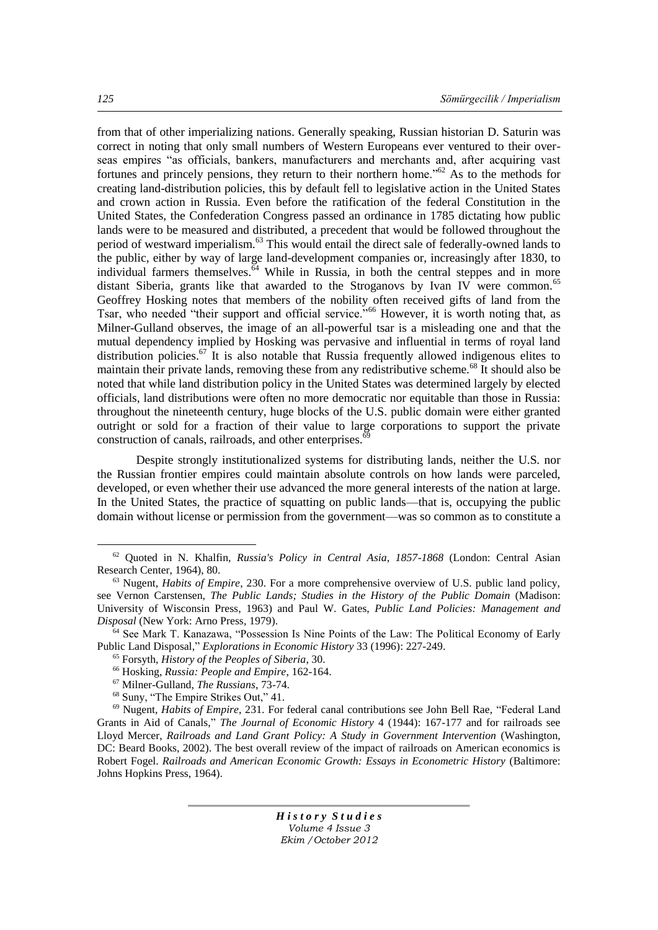from that of other imperializing nations. Generally speaking, Russian historian D. Saturin was correct in noting that only small numbers of Western Europeans ever ventured to their overseas empires "as officials, bankers, manufacturers and merchants and, after acquiring vast fortunes and princely pensions, they return to their northern home.<sup>562</sup> As to the methods for creating land-distribution policies, this by default fell to legislative action in the United States and crown action in Russia. Even before the ratification of the federal Constitution in the United States, the Confederation Congress passed an ordinance in 1785 dictating how public lands were to be measured and distributed, a precedent that would be followed throughout the period of westward imperialism.<sup>63</sup> This would entail the direct sale of federally-owned lands to the public, either by way of large land-development companies or, increasingly after 1830, to individual farmers themselves. $\frac{64}{64}$  While in Russia, in both the central steppes and in more distant Siberia, grants like that awarded to the Stroganovs by Ivan IV were common.<sup>65</sup> Geoffrey Hosking notes that members of the nobility often received gifts of land from the Tsar, who needed "their support and official service."<sup>66</sup> However, it is worth noting that, as Milner-Gulland observes, the image of an all-powerful tsar is a misleading one and that the mutual dependency implied by Hosking was pervasive and influential in terms of royal land distribution policies.<sup>67</sup> It is also notable that Russia frequently allowed indigenous elites to maintain their private lands, removing these from any redistributive scheme.<sup>68</sup> It should also be noted that while land distribution policy in the United States was determined largely by elected officials, land distributions were often no more democratic nor equitable than those in Russia: throughout the nineteenth century, huge blocks of the U.S. public domain were either granted outright or sold for a fraction of their value to large corporations to support the private construction of canals, railroads, and other enterprises. $69$ 

Despite strongly institutionalized systems for distributing lands, neither the U.S. nor the Russian frontier empires could maintain absolute controls on how lands were parceled, developed, or even whether their use advanced the more general interests of the nation at large. In the United States, the practice of squatting on public lands—that is, occupying the public domain without license or permission from the government—was so common as to constitute a

*H i s t o r y S t u d i e s Volume 4 Issue 3 Ekim /October 2012*

 $\overline{a}$ 

<sup>62</sup> Quoted in N. Khalfin, *Russia's Policy in Central Asia, 1857-1868* (London: Central Asian Research Center, 1964), 80.

<sup>63</sup> Nugent, *Habits of Empire*, 230. For a more comprehensive overview of U.S. public land policy, see Vernon Carstensen, *The Public Lands; Studies in the History of the Public Domain* (Madison: University of Wisconsin Press, 1963) and Paul W. Gates, *Public Land Policies: Management and Disposal* (New York: Arno Press, 1979).

<sup>&</sup>lt;sup>64</sup> See Mark T. Kanazawa, "Possession Is Nine Points of the Law: The Political Economy of Early Public Land Disposal," *Explorations in Economic History* 33 (1996): 227-249.

<sup>65</sup> Forsyth, *History of the Peoples of Siberia*, 30.

<sup>66</sup> Hosking, *Russia: People and Empire*, 162-164.

<sup>67</sup> Milner-Gulland, *The Russians*, 73-74.

 $68$  Suny, "The Empire Strikes Out," 41.

<sup>&</sup>lt;sup>69</sup> Nugent, *Habits of Empire*, 231. For federal canal contributions see John Bell Rae, "Federal Land" Grants in Aid of Canals," *The Journal of Economic History* 4 (1944): 167-177 and for railroads see Lloyd Mercer, *Railroads and Land Grant Policy: A Study in Government Intervention* (Washington, DC: Beard Books, 2002). The best overall review of the impact of railroads on American economics is Robert Fogel. *Railroads and American Economic Growth: Essays in Econometric History* (Baltimore: Johns Hopkins Press, 1964).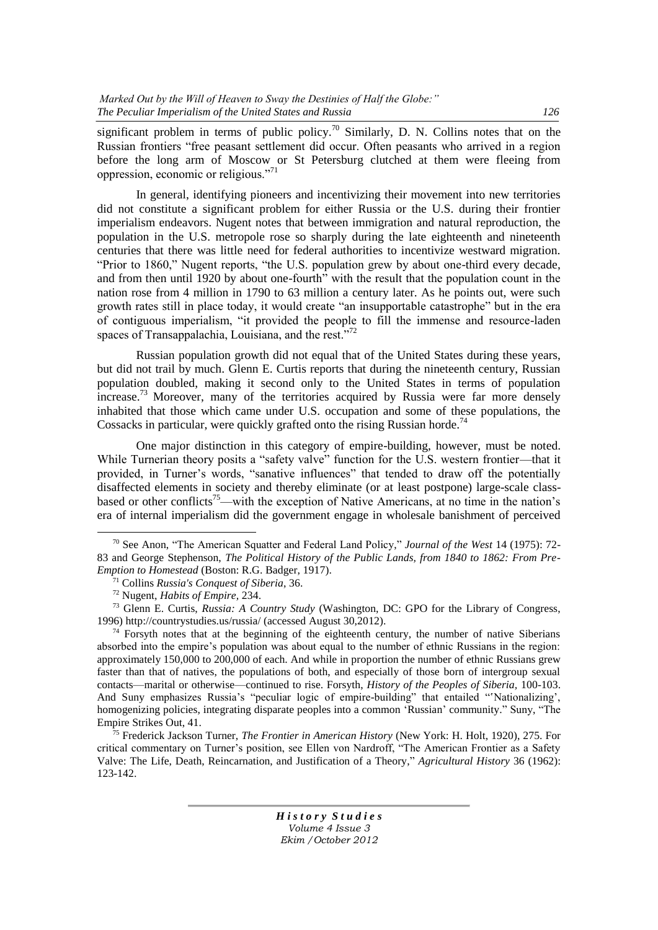significant problem in terms of public policy.<sup>70</sup> Similarly, D. N. Collins notes that on the Russian frontiers "free peasant settlement did occur. Often peasants who arrived in a region before the long arm of Moscow or St Petersburg clutched at them were fleeing from oppression, economic or religious."<sup>71</sup>

In general, identifying pioneers and incentivizing their movement into new territories did not constitute a significant problem for either Russia or the U.S. during their frontier imperialism endeavors. Nugent notes that between immigration and natural reproduction, the population in the U.S. metropole rose so sharply during the late eighteenth and nineteenth centuries that there was little need for federal authorities to incentivize westward migration. "Prior to 1860," Nugent reports, "the U.S. population grew by about one-third every decade, and from then until 1920 by about one-fourth<sup>"</sup> with the result that the population count in the nation rose from 4 million in 1790 to 63 million a century later. As he points out, were such growth rates still in place today, it would create "an insupportable catastrophe" but in the era of contiguous imperialism, "it provided the people to fill the immense and resource-laden spaces of Transappalachia, Louisiana, and the rest. $^{772}$ 

Russian population growth did not equal that of the United States during these years, but did not trail by much. Glenn E. Curtis reports that during the nineteenth century, Russian population doubled, making it second only to the United States in terms of population  $\arccos$ <sub>13</sub> Moreover, many of the territories acquired by Russia were far more densely inhabited that those which came under U.S. occupation and some of these populations, the Cossacks in particular, were quickly grafted onto the rising Russian horde.<sup>74</sup>

One major distinction in this category of empire-building, however, must be noted. While Turnerian theory posits a "safety valve" function for the U.S. western frontier—that it provided, in Turner's words, "sanative influences" that tended to draw off the potentially disaffected elements in society and thereby eliminate (or at least postpone) large-scale classbased or other conflicts<sup>75</sup>—with the exception of Native Americans, at no time in the nation's era of internal imperialism did the government engage in wholesale banishment of perceived

 $\overline{a}$ 

<sup>&</sup>lt;sup>70</sup> See Anon, "The American Squatter and Federal Land Policy," *Journal of the West* 14 (1975): 72-83 and George Stephenson, *The Political History of the Public Lands, from 1840 to 1862: From Pre-Emption to Homestead* (Boston: R.G. Badger, 1917).

<sup>71</sup> Collins *Russia's Conquest of Siberia*, 36.

<sup>72</sup> Nugent, *Habits of Empire,* 234.

<sup>73</sup> Glenn E. Curtis, *Russia: A Country Study* (Washington, DC: GPO for the Library of Congress, 1996) http://countrystudies.us/russia/ (accessed August 30,2012).

 $74$  Forsyth notes that at the beginning of the eighteenth century, the number of native Siberians absorbed into the empire's population was about equal to the number of ethnic Russians in the region: approximately 150,000 to 200,000 of each. And while in proportion the number of ethnic Russians grew faster than that of natives, the populations of both, and especially of those born of intergroup sexual contacts—marital or otherwise—continued to rise. Forsyth, *History of the Peoples of Siberia,* 100-103. And Suny emphasizes Russia's "peculiar logic of empire-building" that entailed "Nationalizing', homogenizing policies, integrating disparate peoples into a common 'Russian' community." Suny, "The Empire Strikes Out, 41.

<sup>75</sup> Frederick Jackson Turner, *The Frontier in American History* (New York: H. Holt, 1920), 275. For critical commentary on Turner's position, see Ellen von Nardroff, "The American Frontier as a Safety Valve: The Life, Death, Reincarnation, and Justification of a Theory," *Agricultural History* 36 (1962): 123-142.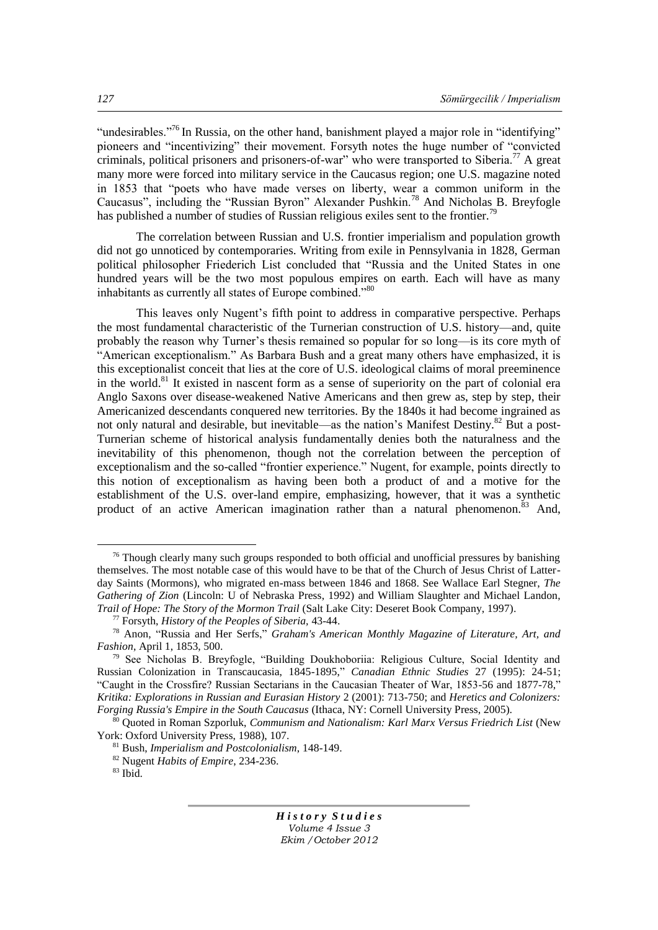"undesirables."<sup>76</sup> In Russia, on the other hand, banishment played a major role in "identifying" pioneers and "incentivizing" their movement. For syth notes the huge number of "convicted" criminals, political prisoners and prisoners-of-war" who were transported to Siberia.<sup>77</sup> A great many more were forced into military service in the Caucasus region; one U.S. magazine noted in 1853 that "poets who have made verses on liberty, wear a common uniform in the Caucasus", including the "Russian Byron" Alexander Pushkin.<sup>78</sup> And Nicholas B. Breyfogle has published a number of studies of Russian religious exiles sent to the frontier.<sup>79</sup>

The correlation between Russian and U.S. frontier imperialism and population growth did not go unnoticed by contemporaries. Writing from exile in Pennsylvania in 1828, German political philosopher Friederich List concluded that "Russia and the United States in one hundred years will be the two most populous empires on earth. Each will have as many inhabitants as currently all states of Europe combined."80

This leaves only Nugent's fifth point to address in comparative perspective. Perhaps the most fundamental characteristic of the Turnerian construction of U.S. history—and, quite probably the reason why Turner's thesis remained so popular for so long—is its core myth of "American exceptionalism." As Barbara Bush and a great many others have emphasized, it is this exceptionalist conceit that lies at the core of U.S. ideological claims of moral preeminence in the world.<sup>81</sup> It existed in nascent form as a sense of superiority on the part of colonial era Anglo Saxons over disease-weakened Native Americans and then grew as, step by step, their Americanized descendants conquered new territories. By the 1840s it had become ingrained as not only natural and desirable, but inevitable—as the nation's Manifest Destiny.<sup>82</sup> But a post-Turnerian scheme of historical analysis fundamentally denies both the naturalness and the inevitability of this phenomenon, though not the correlation between the perception of exceptionalism and the so-called "frontier experience." Nugent, for example, points directly to this notion of exceptionalism as having been both a product of and a motive for the establishment of the U.S. over-land empire, emphasizing, however, that it was a synthetic product of an active American imagination rather than a natural phenomenon.<sup>83</sup> And,

 $\overline{a}$ 

 $76$  Though clearly many such groups responded to both official and unofficial pressures by banishing themselves. The most notable case of this would have to be that of the Church of Jesus Christ of Latterday Saints (Mormons), who migrated en-mass between 1846 and 1868. See Wallace Earl Stegner, *The Gathering of Zion* (Lincoln: U of Nebraska Press, 1992) and William Slaughter and Michael Landon, *Trail of Hope: The Story of the Mormon Trail* (Salt Lake City: Deseret Book Company, 1997).

<sup>77</sup> Forsyth, *History of the Peoples of Siberia,* 43-44.

<sup>&</sup>lt;sup>78</sup> Anon, "Russia and Her Serfs," Graham's American Monthly Magazine of Literature, Art, and *Fashion*, April 1, 1853, 500.

 $79$  See Nicholas B. Breyfogle, "Building Doukhoboriia: Religious Culture, Social Identity and Russian Colonization in Transcaucasia, 1845-1895,‖ *Canadian Ethnic Studies* 27 (1995): 24-51; "Caught in the Crossfire? Russian Sectarians in the Caucasian Theater of War, 1853-56 and 1877-78," *Kritika: Explorations in Russian and Eurasian History* 2 (2001): 713-750; and *Heretics and Colonizers: Forging Russia's Empire in the South Caucasus* (Ithaca, NY: Cornell University Press, 2005).

<sup>80</sup> Quoted in Roman Szporluk, *Communism and Nationalism: Karl Marx Versus Friedrich List* (New York: Oxford University Press, 1988), 107.

<sup>81</sup> Bush, *Imperialism and Postcolonialism*, 148-149.

<sup>82</sup> Nugent *Habits of Empire*, 234-236.

 $83$  Ibid.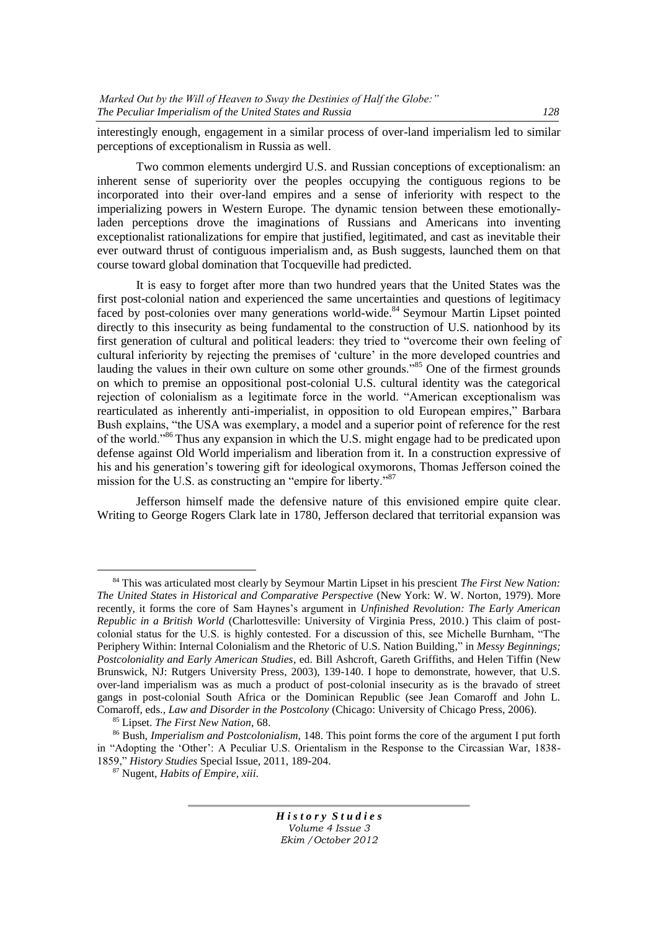interestingly enough, engagement in a similar process of over-land imperialism led to similar perceptions of exceptionalism in Russia as well.

Two common elements undergird U.S. and Russian conceptions of exceptionalism: an inherent sense of superiority over the peoples occupying the contiguous regions to be incorporated into their over-land empires and a sense of inferiority with respect to the imperializing powers in Western Europe. The dynamic tension between these emotionallyladen perceptions drove the imaginations of Russians and Americans into inventing exceptionalist rationalizations for empire that justified, legitimated, and cast as inevitable their ever outward thrust of contiguous imperialism and, as Bush suggests, launched them on that course toward global domination that Tocqueville had predicted.

It is easy to forget after more than two hundred years that the United States was the first post-colonial nation and experienced the same uncertainties and questions of legitimacy faced by post-colonies over many generations world-wide.<sup>84</sup> Seymour Martin Lipset pointed directly to this insecurity as being fundamental to the construction of U.S. nationhood by its first generation of cultural and political leaders: they tried to "overcome their own feeling of cultural inferiority by rejecting the premises of 'culture' in the more developed countries and lauding the values in their own culture on some other grounds.<sup>85</sup> One of the firmest grounds on which to premise an oppositional post-colonial U.S. cultural identity was the categorical rejection of colonialism as a legitimate force in the world. "American exceptionalism was rearticulated as inherently anti-imperialist, in opposition to old European empires," Barbara Bush explains, "the USA was exemplary, a model and a superior point of reference for the rest of the world.<sup>86</sup> Thus any expansion in which the U.S. might engage had to be predicated upon defense against Old World imperialism and liberation from it. In a construction expressive of his and his generation's towering gift for ideological oxymorons, Thomas Jefferson coined the mission for the U.S. as constructing an "empire for liberty." $87$ 

Jefferson himself made the defensive nature of this envisioned empire quite clear. Writing to George Rogers Clark late in 1780, Jefferson declared that territorial expansion was

 $\overline{a}$ 

<sup>84</sup> This was articulated most clearly by Seymour Martin Lipset in his prescient *The First New Nation: The United States in Historical and Comparative Perspective* (New York: W. W. Norton, 1979). More recently, it forms the core of Sam Haynes's argument in *Unfinished Revolution: The Early American Republic in a British World* (Charlottesville: University of Virginia Press, 2010.) This claim of postcolonial status for the U.S. is highly contested. For a discussion of this, see Michelle Burnham, "The Periphery Within: Internal Colonialism and the Rhetoric of U.S. Nation Building," in *Messy Beginnings; Postcoloniality and Early American Studies*, ed. Bill Ashcroft, Gareth Griffiths, and Helen Tiffin (New Brunswick, NJ: Rutgers University Press, 2003), 139-140. I hope to demonstrate, however, that U.S. over-land imperialism was as much a product of post-colonial insecurity as is the bravado of street gangs in post-colonial South Africa or the Dominican Republic (see Jean Comaroff and John L. Comaroff, eds., *Law and Disorder in the Postcolony* (Chicago: University of Chicago Press, 2006).

<sup>85</sup> Lipset. *The First New Nation*, 68.

<sup>86</sup> Bush, *Imperialism and Postcolonialism*, 148. This point forms the core of the argument I put forth in "Adopting the 'Other': A Peculiar U.S. Orientalism in the Response to the Circassian War, 1838-1859,‖ *History Studies* Special Issue, 2011, 189-204.

<sup>87</sup> Nugent, *Habits of Empire*, *xiii*.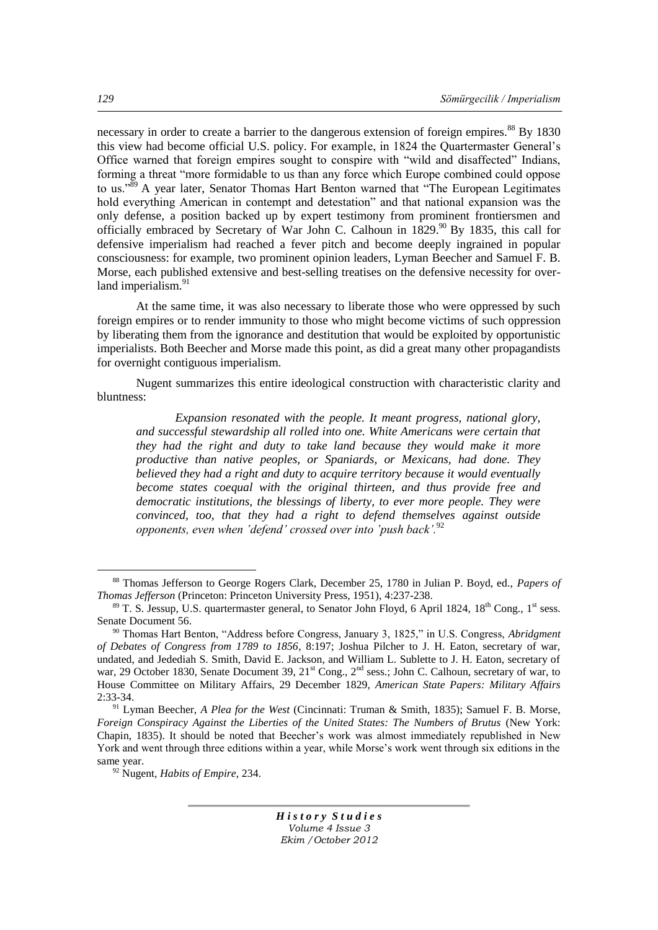necessary in order to create a barrier to the dangerous extension of foreign empires.<sup>88</sup> By 1830 this view had become official U.S. policy. For example, in 1824 the Quartermaster General's Office warned that foreign empires sought to conspire with "wild and disaffected" Indians, forming a threat "more formidable to us than any force which Europe combined could oppose to us."<sup>89</sup> A year later, Senator Thomas Hart Benton warned that "The European Legitimates" hold everything American in contempt and detestation" and that national expansion was the only defense, a position backed up by expert testimony from prominent frontiersmen and officially embraced by Secretary of War John C. Calhoun in 1829.<sup>90</sup> By 1835, this call for defensive imperialism had reached a fever pitch and become deeply ingrained in popular consciousness: for example, two prominent opinion leaders, Lyman Beecher and Samuel F. B. Morse, each published extensive and best-selling treatises on the defensive necessity for overland imperialism.<sup>91</sup>

At the same time, it was also necessary to liberate those who were oppressed by such foreign empires or to render immunity to those who might become victims of such oppression by liberating them from the ignorance and destitution that would be exploited by opportunistic imperialists. Both Beecher and Morse made this point, as did a great many other propagandists for overnight contiguous imperialism.

Nugent summarizes this entire ideological construction with characteristic clarity and bluntness:

*Expansion resonated with the people. It meant progress, national glory, and successful stewardship all rolled into one. White Americans were certain that they had the right and duty to take land because they would make it more productive than native peoples, or Spaniards, or Mexicans, had done. They believed they had a right and duty to acquire territory because it would eventually become states coequal with the original thirteen, and thus provide free and democratic institutions, the blessings of liberty, to ever more people. They were convinced, too, that they had a right to defend themselves against outside opponents, even when 'defend' crossed over into 'push back'.*<sup>92</sup>

*H i s t o r y S t u d i e s Volume 4 Issue 3 Ekim /October 2012*

 $\overline{a}$ 

<sup>88</sup> Thomas Jefferson to George Rogers Clark, December 25, 1780 in Julian P. Boyd, ed., *Papers of Thomas Jefferson* (Princeton: Princeton University Press, 1951), 4:237-238.

 $89$  T. S. Jessup, U.S. quartermaster general, to Senator John Floyd, 6 April 1824,  $18<sup>th</sup>$  Cong.,  $1<sup>st</sup>$  sess. Senate Document 56.

<sup>&</sup>lt;sup>90</sup> Thomas Hart Benton, "Address before Congress, January 3, 1825," in U.S. Congress, *Abridgment of Debates of Congress from 1789 to 1856*, 8:197; Joshua Pilcher to J. H. Eaton, secretary of war, undated, and Jedediah S. Smith, David E. Jackson, and William L. Sublette to J. H. Eaton, secretary of war, 29 October 1830, Senate Document 39, 21<sup>st</sup> Cong., 2<sup>nd</sup> sess.; John C. Calhoun, secretary of war, to House Committee on Military Affairs, 29 December 1829, *American State Papers: Military Affairs*  2:33-34.

<sup>91</sup> Lyman Beecher, *A Plea for the West* (Cincinnati: Truman & Smith, 1835); Samuel F. B. Morse, *Foreign Conspiracy Against the Liberties of the United States: The Numbers of Brutus* (New York: Chapin, 1835). It should be noted that Beecher's work was almost immediately republished in New York and went through three editions within a year, while Morse's work went through six editions in the same year.

<sup>92</sup> Nugent, *Habits of Empire,* 234.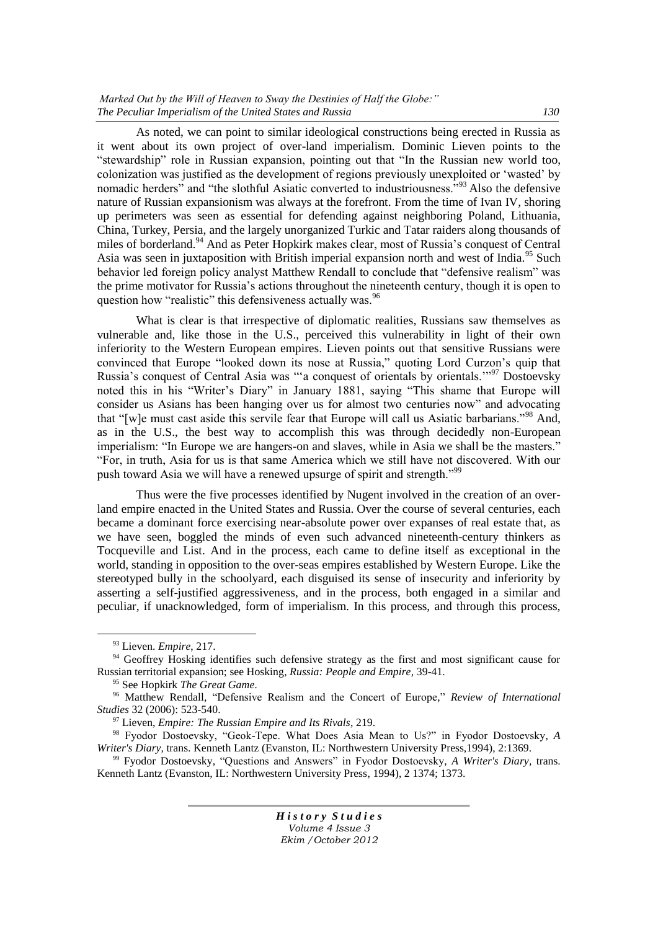As noted, we can point to similar ideological constructions being erected in Russia as it went about its own project of over-land imperialism. Dominic Lieven points to the "stewardship" role in Russian expansion, pointing out that "In the Russian new world too, colonization was justified as the development of regions previously unexploited or 'wasted' by nomadic herders<sup>"</sup> and "the slothful Asiatic converted to industriousness.<sup>?93</sup> Also the defensive nature of Russian expansionism was always at the forefront. From the time of Ivan IV, shoring up perimeters was seen as essential for defending against neighboring Poland, Lithuania, China, Turkey, Persia, and the largely unorganized Turkic and Tatar raiders along thousands of miles of borderland.<sup>94</sup> And as Peter Hopkirk makes clear, most of Russia's conquest of Central Asia was seen in juxtaposition with British imperial expansion north and west of India.<sup>95</sup> Such behavior led foreign policy analyst Matthew Rendall to conclude that "defensive realism" was the prime motivator for Russia's actions throughout the nineteenth century, though it is open to question how "realistic" this defensiveness actually was.<sup>96</sup>

What is clear is that irrespective of diplomatic realities, Russians saw themselves as vulnerable and, like those in the U.S., perceived this vulnerability in light of their own inferiority to the Western European empires. Lieven points out that sensitive Russians were convinced that Europe "looked down its nose at Russia," quoting Lord Curzon's quip that Russia's conquest of Central Asia was "a conquest of orientals by orientals."<sup>97</sup> Dostoevsky noted this in his "Writer's Diary" in January 1881, saying "This shame that Europe will consider us Asians has been hanging over us for almost two centuries now" and advocating that "Iwle must cast aside this servile fear that Europe will call us Asiatic barbarians."<sup>98</sup> And, as in the U.S., the best way to accomplish this was through decidedly non-European imperialism: "In Europe we are hangers-on and slaves, while in Asia we shall be the masters." ―For, in truth, Asia for us is that same America which we still have not discovered. With our push toward Asia we will have a renewed upsurge of spirit and strength."<sup>99</sup>

Thus were the five processes identified by Nugent involved in the creation of an overland empire enacted in the United States and Russia. Over the course of several centuries, each became a dominant force exercising near-absolute power over expanses of real estate that, as we have seen, boggled the minds of even such advanced nineteenth-century thinkers as Tocqueville and List. And in the process, each came to define itself as exceptional in the world, standing in opposition to the over-seas empires established by Western Europe. Like the stereotyped bully in the schoolyard, each disguised its sense of insecurity and inferiority by asserting a self-justified aggressiveness, and in the process, both engaged in a similar and peculiar, if unacknowledged, form of imperialism. In this process, and through this process,

 $\overline{a}$ 

<sup>99</sup> Fyodor Dostoevsky, "Questions and Answers" in Fyodor Dostoevsky, *A Writer's Diary*, trans. Kenneth Lantz (Evanston, IL: Northwestern University Press, 1994), 2 1374; 1373.

<sup>93</sup> Lieven. *Empire*, 217.

<sup>&</sup>lt;sup>94</sup> Geoffrey Hosking identifies such defensive strategy as the first and most significant cause for Russian territorial expansion; see Hosking, *Russia: People and Empire,* 39-41.

<sup>95</sup> See Hopkirk *The Great Game.*

<sup>&</sup>lt;sup>96</sup> Matthew Rendall, "Defensive Realism and the Concert of Europe," *Review of International Studies* 32 (2006): 523-540.

<sup>97</sup> Lieven, *Empire: The Russian Empire and Its Rivals*, 219.

<sup>&</sup>lt;sup>98</sup> Fyodor Dostoevsky, "Geok-Tepe. What Does Asia Mean to Us?" in Fyodor Dostoevsky, A *Writer's Diary,* trans. Kenneth Lantz (Evanston, IL: Northwestern University Press,1994), 2:1369.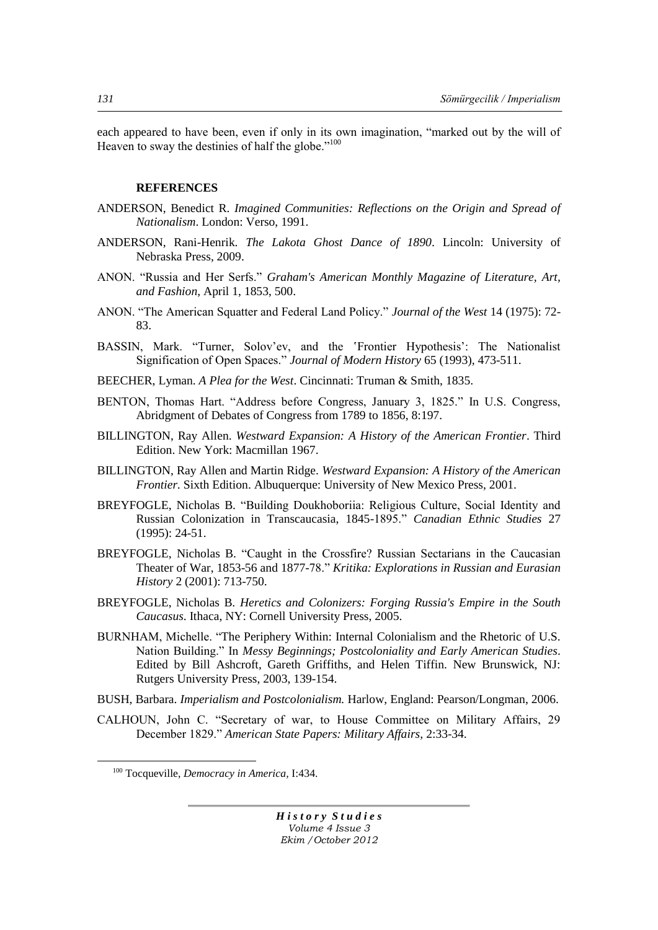each appeared to have been, even if only in its own imagination, "marked out by the will of Heaven to sway the destinies of half the globe." $100$ 

## **REFERENCES**

- ANDERSON, Benedict R. *Imagined Communities: Reflections on the Origin and Spread of Nationalism*. London: Verso, 1991.
- ANDERSON, Rani-Henrik. *The Lakota Ghost Dance of 1890*. Lincoln: University of Nebraska Press, 2009.
- ANON. "Russia and Her Serfs." *Graham's American Monthly Magazine of Literature, Art, and Fashion*, April 1, 1853, 500.
- ANON. ―The American Squatter and Federal Land Policy.‖ *Journal of the West* 14 (1975): 72- 83.
- BASSIN, Mark. "Turner, Solov'ev, and the 'Frontier Hypothesis': The Nationalist Signification of Open Spaces.‖ *Journal of Modern History* 65 (1993), 473-511.
- BEECHER, Lyman. *A Plea for the West*. Cincinnati: Truman & Smith, 1835.
- BENTON, Thomas Hart. "Address before Congress, January 3, 1825." In U.S. Congress, Abridgment of Debates of Congress from 1789 to 1856, 8:197.
- BILLINGTON, Ray Allen. *Westward Expansion: A History of the American Frontier*. Third Edition. New York: Macmillan 1967.
- BILLINGTON, Ray Allen and Martin Ridge. *Westward Expansion: A History of the American Frontier.* Sixth Edition. Albuquerque: University of New Mexico Press, 2001.
- BREYFOGLE, Nicholas B. "Building Doukhoboriia: Religious Culture, Social Identity and Russian Colonization in Transcaucasia, 1845-1895.‖ *Canadian Ethnic Studies* 27 (1995): 24-51.
- BREYFOGLE, Nicholas B. "Caught in the Crossfire? Russian Sectarians in the Caucasian Theater of War, 1853-56 and 1877-78.‖ *Kritika: Explorations in Russian and Eurasian History* 2 (2001): 713-750.
- BREYFOGLE, Nicholas B. *Heretics and Colonizers: Forging Russia's Empire in the South Caucasus*. Ithaca, NY: Cornell University Press, 2005.
- BURNHAM, Michelle. "The Periphery Within: Internal Colonialism and the Rhetoric of U.S. Nation Building." In *Messy Beginnings; Postcoloniality and Early American Studies.* Edited by Bill Ashcroft, Gareth Griffiths, and Helen Tiffin. New Brunswick, NJ: Rutgers University Press, 2003, 139-154.
- BUSH, Barbara. *Imperialism and Postcolonialism.* Harlow, England: Pearson/Longman, 2006.
- CALHOUN, John C. "Secretary of war, to House Committee on Military Affairs, 29 December 1829.‖ *American State Papers: Military Affairs,* 2:33-34.

 $\overline{a}$ 

<sup>100</sup> Tocqueville, *Democracy in America,* I:434.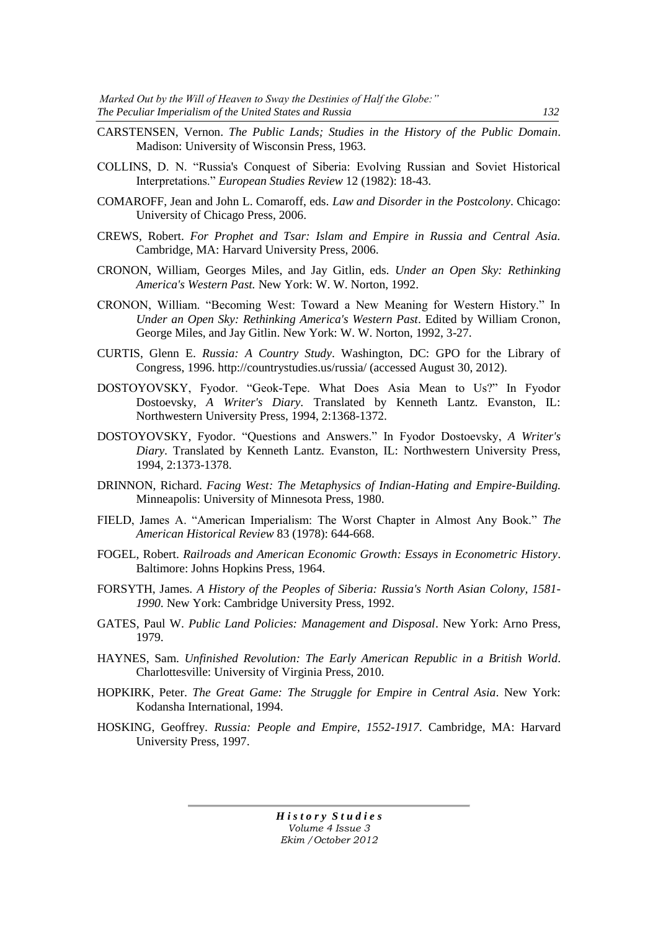- CARSTENSEN, Vernon. *The Public Lands; Studies in the History of the Public Domain*. Madison: University of Wisconsin Press, 1963.
- COLLINS, D. N. "Russia's Conquest of Siberia: Evolving Russian and Soviet Historical Interpretations.‖ *European Studies Review* 12 (1982): 18-43.
- COMAROFF, Jean and John L. Comaroff, eds. *Law and Disorder in the Postcolony*. Chicago: University of Chicago Press, 2006.
- CREWS, Robert. *For Prophet and Tsar: Islam and Empire in Russia and Central Asia.*  Cambridge, MA: Harvard University Press, 2006.
- CRONON, William, Georges Miles, and Jay Gitlin, eds. *Under an Open Sky: Rethinking America's Western Past.* New York: W. W. Norton, 1992.
- CRONON, William. "Becoming West: Toward a New Meaning for Western History." In *Under an Open Sky: Rethinking America's Western Past*. Edited by William Cronon, George Miles, and Jay Gitlin. New York: W. W. Norton, 1992, 3-27.
- CURTIS, Glenn E. *Russia: A Country Study*. Washington, DC: GPO for the Library of Congress, 1996. http://countrystudies.us/russia/ (accessed August 30, 2012).
- DOSTOYOVSKY, Fyodor. "Geok-Tepe. What Does Asia Mean to Us?" In Fyodor Dostoevsky, *A Writer's Diary.* Translated by Kenneth Lantz. Evanston, IL: Northwestern University Press, 1994, 2:1368-1372.
- DOSTOYOVSKY, Fyodor. "Questions and Answers." In Fyodor Dostoevsky, *A Writer's Diary.* Translated by Kenneth Lantz. Evanston, IL: Northwestern University Press, 1994, 2:1373-1378.
- DRINNON, Richard. *Facing West: The Metaphysics of Indian-Hating and Empire-Building.* Minneapolis: University of Minnesota Press, 1980.
- FIELD, James A. "American Imperialism: The Worst Chapter in Almost Any Book." The *American Historical Review* 83 (1978): 644-668.
- FOGEL, Robert. *Railroads and American Economic Growth: Essays in Econometric History*. Baltimore: Johns Hopkins Press, 1964.
- FORSYTH, James. *A History of the Peoples of Siberia: Russia's North Asian Colony, 1581- 1990*. New York: Cambridge University Press, 1992.
- GATES, Paul W. *Public Land Policies: Management and Disposal*. New York: Arno Press, 1979.
- HAYNES, Sam. *Unfinished Revolution: The Early American Republic in a British World*. Charlottesville: University of Virginia Press, 2010.
- HOPKIRK, Peter. *The Great Game: The Struggle for Empire in Central Asia*. New York: Kodansha International, 1994.
- HOSKING, Geoffrey. *Russia: People and Empire, 1552-1917*. Cambridge, MA: Harvard University Press, 1997.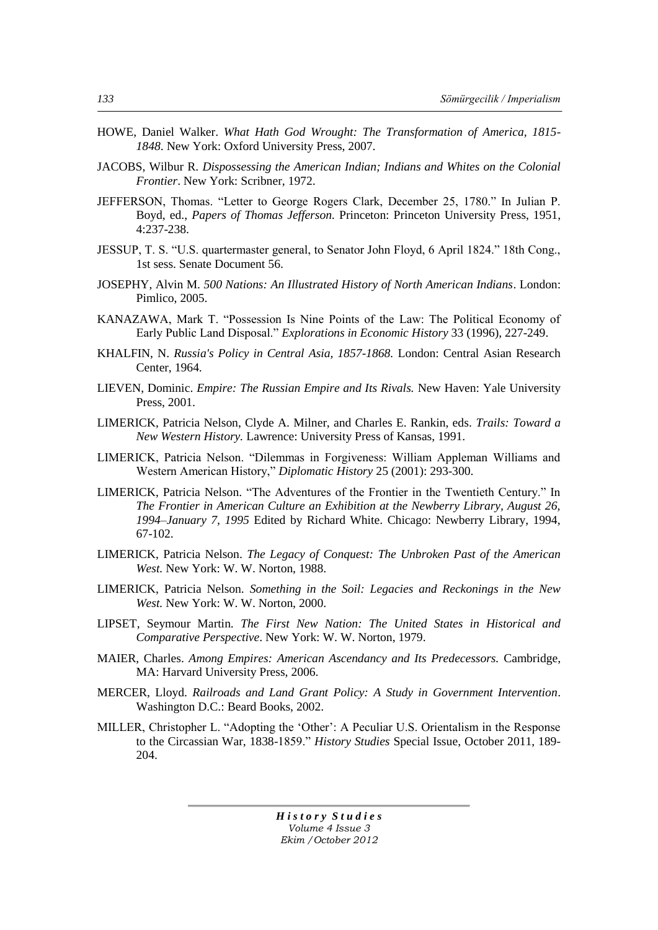- HOWE, Daniel Walker. *What Hath God Wrought: The Transformation of America, 1815- 1848*. New York: Oxford University Press, 2007.
- JACOBS, Wilbur R. *Dispossessing the American Indian; Indians and Whites on the Colonial Frontier*. New York: Scribner, 1972.
- JEFFERSON, Thomas. "Letter to George Rogers Clark, December 25, 1780." In Julian P. Boyd, ed., *Papers of Thomas Jefferson.* Princeton: Princeton University Press, 1951, 4:237-238.
- JESSUP, T. S. "U.S. quartermaster general, to Senator John Floyd, 6 April 1824." 18th Cong., 1st sess. Senate Document 56.
- JOSEPHY, Alvin M. *500 Nations: An Illustrated History of North American Indians*. London: Pimlico, 2005.
- KANAZAWA, Mark T. "Possession Is Nine Points of the Law: The Political Economy of Early Public Land Disposal.‖ *Explorations in Economic History* 33 (1996), 227-249.
- KHALFIN, N. *Russia's Policy in Central Asia, 1857-1868.* London: Central Asian Research Center, 1964.
- LIEVEN, Dominic. *Empire: The Russian Empire and Its Rivals.* New Haven: Yale University Press, 2001.
- LIMERICK, Patricia Nelson, Clyde A. Milner, and Charles E. Rankin, eds. *Trails: Toward a New Western History.* Lawrence: University Press of Kansas, 1991.
- LIMERICK, Patricia Nelson. "Dilemmas in Forgiveness: William Appleman Williams and Western American History," *Diplomatic History* 25 (2001): 293-300.
- LIMERICK, Patricia Nelson. "The Adventures of the Frontier in the Twentieth Century." In *The Frontier in American Culture an Exhibition at the Newberry Library, August 26, 1994–January 7, 1995* Edited by Richard White. Chicago: Newberry Library, 1994, 67-102.
- LIMERICK, Patricia Nelson. *The Legacy of Conquest: The Unbroken Past of the American West.* New York: W. W. Norton, 1988.
- LIMERICK, Patricia Nelson. *Something in the Soil: Legacies and Reckonings in the New West.* New York: W. W. Norton, 2000.
- LIPSET, Seymour Martin. *The First New Nation: The United States in Historical and Comparative Perspective*. New York: W. W. Norton, 1979.
- MAIER, Charles. *Among Empires: American Ascendancy and Its Predecessors.* Cambridge, MA: Harvard University Press, 2006.
- MERCER, Lloyd. *Railroads and Land Grant Policy: A Study in Government Intervention*. Washington D.C.: Beard Books, 2002.
- MILLER, Christopher L. "Adopting the 'Other': A Peculiar U.S. Orientalism in the Response to the Circassian War, 1838-1859." *History Studies* Special Issue, October 2011, 189-204.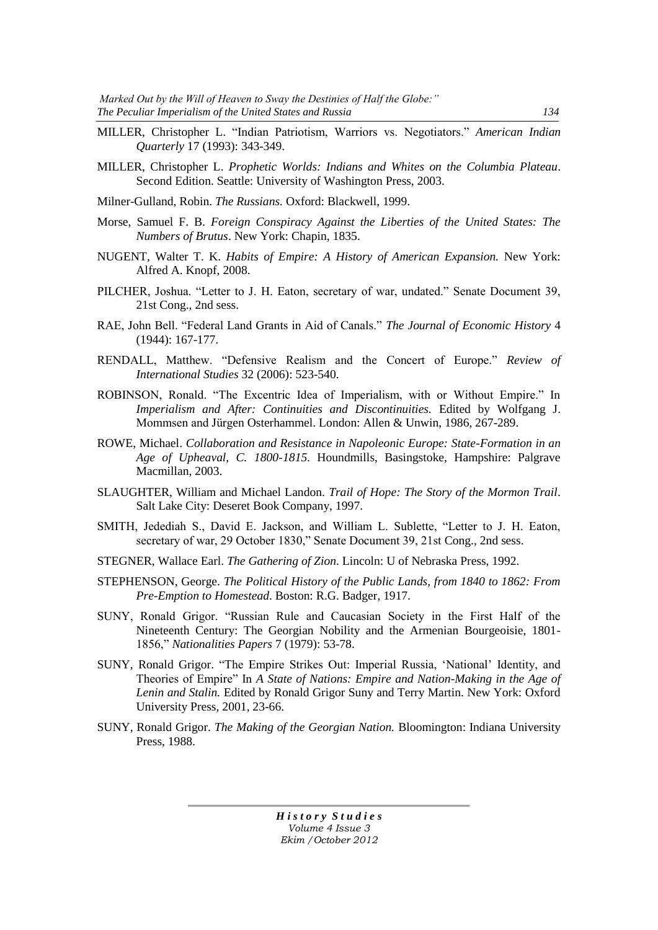- MILLER, Christopher L. "Indian Patriotism, Warriors vs. Negotiators." American Indian *Quarterly* 17 (1993): 343-349.
- MILLER, Christopher L. *Prophetic Worlds: Indians and Whites on the Columbia Plateau*. Second Edition. Seattle: University of Washington Press, 2003.
- Milner-Gulland, Robin. *The Russians.* Oxford: Blackwell, 1999.
- Morse, Samuel F. B. *Foreign Conspiracy Against the Liberties of the United States: The Numbers of Brutus*. New York: Chapin, 1835.
- NUGENT, Walter T. K. *Habits of Empire: A History of American Expansion.* New York: Alfred A. Knopf, 2008.
- PILCHER, Joshua. "Letter to J. H. Eaton, secretary of war, undated." Senate Document 39, 21st Cong., 2nd sess.
- RAE, John Bell. "Federal Land Grants in Aid of Canals." *The Journal of Economic History* 4 (1944): 167-177.
- RENDALL, Matthew. "Defensive Realism and the Concert of Europe." Review of *International Studies* 32 (2006): 523-540.
- ROBINSON, Ronald. "The Excentric Idea of Imperialism, with or Without Empire." In *Imperialism and After: Continuities and Discontinuities.* Edited by Wolfgang J. Mommsen and Jürgen Osterhammel. London: Allen & Unwin, 1986, 267-289.
- ROWE, Michael. *Collaboration and Resistance in Napoleonic Europe: State-Formation in an Age of Upheaval, C. 1800-1815*. Houndmills, Basingstoke, Hampshire: Palgrave Macmillan, 2003.
- SLAUGHTER, William and Michael Landon. *Trail of Hope: The Story of the Mormon Trail*. Salt Lake City: Deseret Book Company, 1997.
- SMITH, Jedediah S., David E. Jackson, and William L. Sublette, "Letter to J. H. Eaton, secretary of war, 29 October 1830," Senate Document 39, 21st Cong., 2nd sess.
- STEGNER, Wallace Earl. *The Gathering of Zion*. Lincoln: U of Nebraska Press, 1992.
- STEPHENSON, George. *The Political History of the Public Lands, from 1840 to 1862: From Pre-Emption to Homestead*. Boston: R.G. Badger, 1917.
- SUNY, Ronald Grigor. "Russian Rule and Caucasian Society in the First Half of the Nineteenth Century: The Georgian Nobility and the Armenian Bourgeoisie, 1801- 1856,‖ *Nationalities Papers* 7 (1979): 53-78.
- SUNY, Ronald Grigor. "The Empire Strikes Out: Imperial Russia, 'National' Identity, and Theories of Empire" In *A State of Nations: Empire and Nation-Making in the Age of Lenin and Stalin.* Edited by Ronald Grigor Suny and Terry Martin. New York: Oxford University Press, 2001, 23-66.
- SUNY, Ronald Grigor. *The Making of the Georgian Nation.* Bloomington: Indiana University Press, 1988.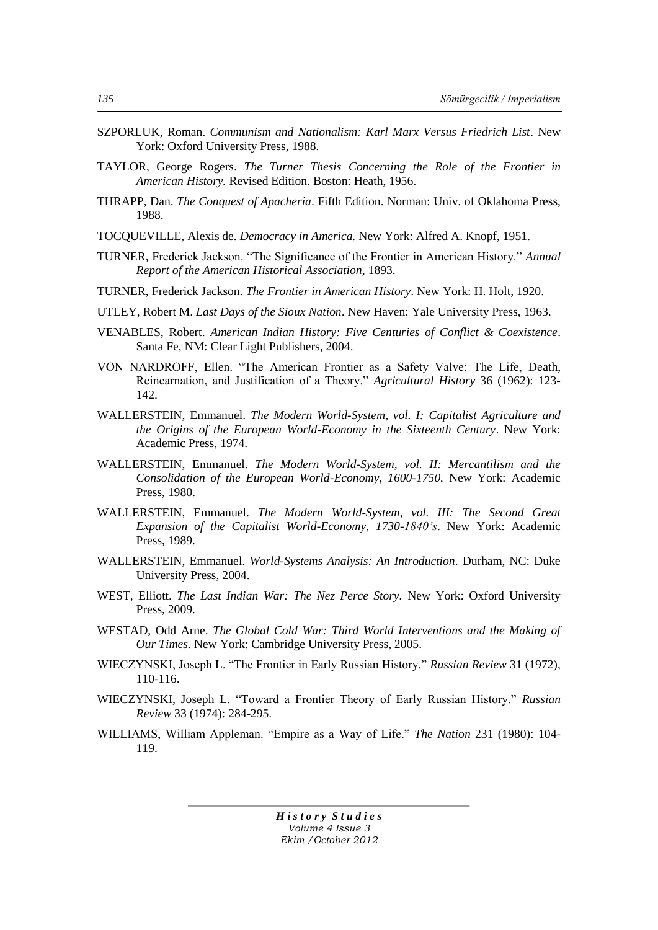- SZPORLUK, Roman. *Communism and Nationalism: Karl Marx Versus Friedrich List*. New York: Oxford University Press, 1988.
- TAYLOR, George Rogers. *The Turner Thesis Concerning the Role of the Frontier in American History.* Revised Edition. Boston: Heath, 1956.
- THRAPP, Dan. *The Conquest of Apacheria*. Fifth Edition. Norman: Univ. of Oklahoma Press, 1988.
- TOCQUEVILLE, Alexis de. *Democracy in America.* New York: Alfred A. Knopf, 1951.
- TURNER, Frederick Jackson. "The Significance of the Frontier in American History." *Annual Report of the American Historical Association*, 1893.
- TURNER, Frederick Jackson. *The Frontier in American History*. New York: H. Holt, 1920.
- UTLEY, Robert M. *Last Days of the Sioux Nation*. New Haven: Yale University Press, 1963.
- VENABLES, Robert. *American Indian History: Five Centuries of Conflict & Coexistence*. Santa Fe, NM: Clear Light Publishers, 2004.
- VON NARDROFF, Ellen. "The American Frontier as a Safety Valve: The Life, Death, Reincarnation, and Justification of a Theory." *Agricultural History* 36 (1962): 123-142.
- WALLERSTEIN, Emmanuel. *The Modern World-System, vol. I: Capitalist Agriculture and the Origins of the European World-Economy in the Sixteenth Century*. New York: Academic Press, 1974.
- WALLERSTEIN, Emmanuel. *The Modern World-System, vol. II: Mercantilism and the Consolidation of the European World-Economy, 1600-1750.* New York: Academic Press, 1980.
- WALLERSTEIN, Emmanuel. *The Modern World-System, vol. III: The Second Great Expansion of the Capitalist World-Economy, 1730-1840's*. New York: Academic Press, 1989.
- WALLERSTEIN, Emmanuel. *World-Systems Analysis: An Introduction*. Durham, NC: Duke University Press, 2004.
- WEST, Elliott. *The Last Indian War: The Nez Perce Story.* New York: Oxford University Press, 2009.
- WESTAD, Odd Arne. *The Global Cold War: Third World Interventions and the Making of Our Times.* New York: Cambridge University Press, 2005.
- WIECZYNSKI, Joseph L. "The Frontier in Early Russian History." *Russian Review* 31 (1972), 110-116.
- WIECZYNSKI, Joseph L. "Toward a Frontier Theory of Early Russian History." Russian *Review* 33 (1974): 284-295.
- WILLIAMS, William Appleman. "Empire as a Way of Life." *The Nation* 231 (1980): 104-119.